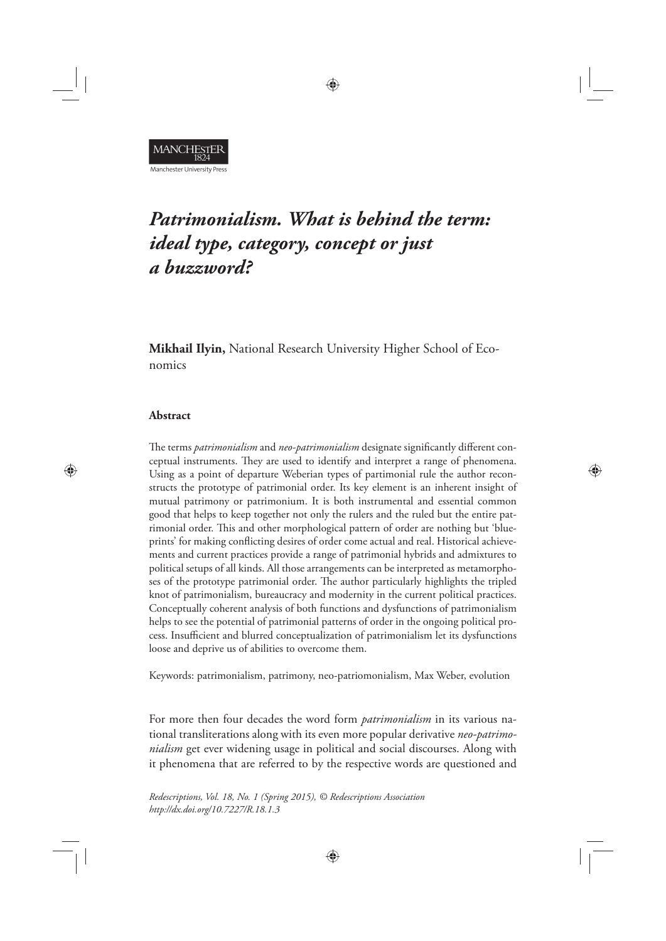**MANCHESTER** Manchester University Press

# *Patrimonialism. What is behind the term: ideal type, category, concept or just a buzzword?*

⊕

**Mikhail Ilyin,** National Research University Higher School of Economics

## **Abstract**

⊕

The terms *patrimonialism* and *neo-patrimonialism* designate significantly different conceptual instruments. They are used to identify and interpret a range of phenomena. Using as a point of departure Weberian types of partimonial rule the author reconstructs the prototype of patrimonial order. Its key element is an inherent insight of mutual patrimony or patrimonium. It is both instrumental and essential common good that helps to keep together not only the rulers and the ruled but the entire patrimonial order. This and other morphological pattern of order are nothing but 'blueprints' for making conflicting desires of order come actual and real. Historical achievements and current practices provide a range of patrimonial hybrids and admixtures to political setups of all kinds. All those arrangements can be interpreted as metamorphoses of the prototype patrimonial order. The author particularly highlights the tripled knot of patrimonialism, bureaucracy and modernity in the current political practices. Conceptually coherent analysis of both functions and dysfunctions of patrimonialism helps to see the potential of patrimonial patterns of order in the ongoing political process. Insufficient and blurred conceptualization of patrimonialism let its dysfunctions loose and deprive us of abilities to overcome them.

⊕

Keywords: patrimonialism, patrimony, neo-patriomonialism, Max Weber, evolution

For more then four decades the word form *patrimonialism* in its various national transliterations along with its even more popular derivative *neo-patrimonialism* get ever widening usage in political and social discourses. Along with it phenomena that are referred to by the respective words are questioned and

⊕

*Redescriptions, Vol. 18, No. 1 (Spring 2015), © Redescriptions Association http://dx.doi.org/10.7227/R.18.1.3*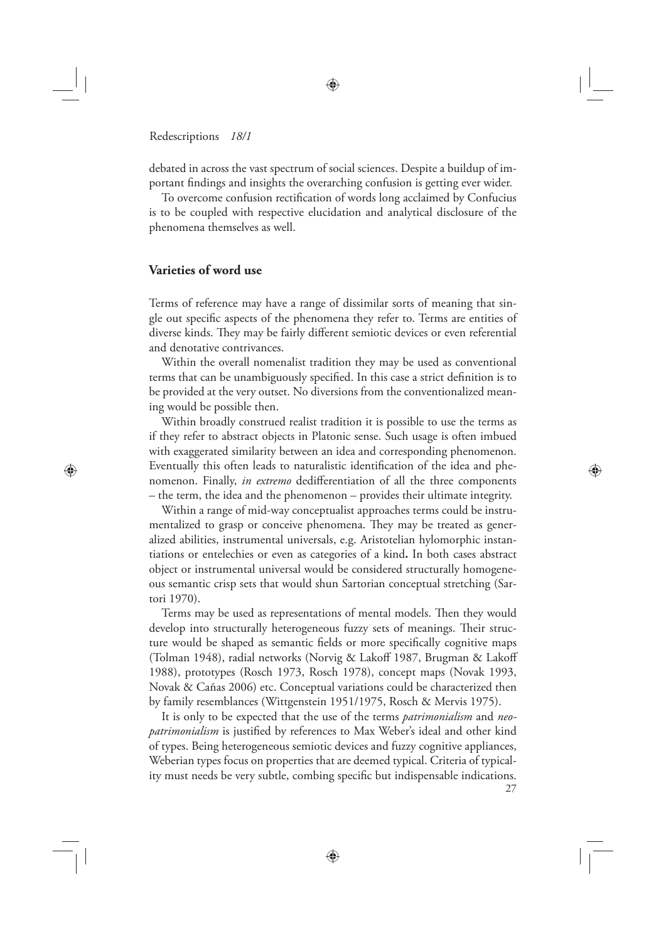debated in across the vast spectrum of social sciences. Despite a buildup of important findings and insights the overarching confusion is getting ever wider.

To overcome confusion rectification of words long acclaimed by Confucius is to be coupled with respective elucidation and analytical disclosure of the phenomena themselves as well.

## **Varieties of word use**

⊕

Terms of reference may have a range of dissimilar sorts of meaning that single out specific aspects of the phenomena they refer to. Terms are entities of diverse kinds. They may be fairly different semiotic devices or even referential and denotative contrivances.

Within the overall nomenalist tradition they may be used as conventional terms that can be unambiguously specified. In this case a strict definition is to be provided at the very outset. No diversions from the conventionalized meaning would be possible then.

Within broadly construed realist tradition it is possible to use the terms as if they refer to abstract objects in Platonic sense. Such usage is often imbued with exaggerated similarity between an idea and corresponding phenomenon. Eventually this often leads to naturalistic identification of the idea and phenomenon. Finally, *in extremo* dedifferentiation of all the three components – the term, the idea and the phenomenon – provides their ultimate integrity.

◈

Within a range of mid-way conceptualist approaches terms could be instrumentalized to grasp or conceive phenomena. They may be treated as generalized abilities, instrumental universals, e.g. Aristotelian hylomorphic instantiations or entelechies or even as categories of a kind**.** In both cases abstract object or instrumental universal would be considered structurally homogeneous semantic crisp sets that would shun Sartorian conceptual stretching (Sartori 1970).

Terms may be used as representations of mental models. Then they would develop into structurally heterogeneous fuzzy sets of meanings. Their structure would be shaped as semantic fields or more specifically cognitive maps (Tolman 1948), radial networks (Norvig & Lakoff 1987, Brugman & Lakoff 1988), prototypes (Rosch 1973, Rosch 1978), concept maps (Novak 1993, Novak & Cañas 2006) etc. Conceptual variations could be characterized then by family resemblances (Wittgenstein 1951/1975, Rosch & Mervis 1975).

27 It is only to be expected that the use of the terms *patrimonialism* and *neopatrimonialism* is justified by references to Max Weber's ideal and other kind of types. Being heterogeneous semiotic devices and fuzzy cognitive appliances, Weberian types focus on properties that are deemed typical. Criteria of typicality must needs be very subtle, combing specific but indispensable indications.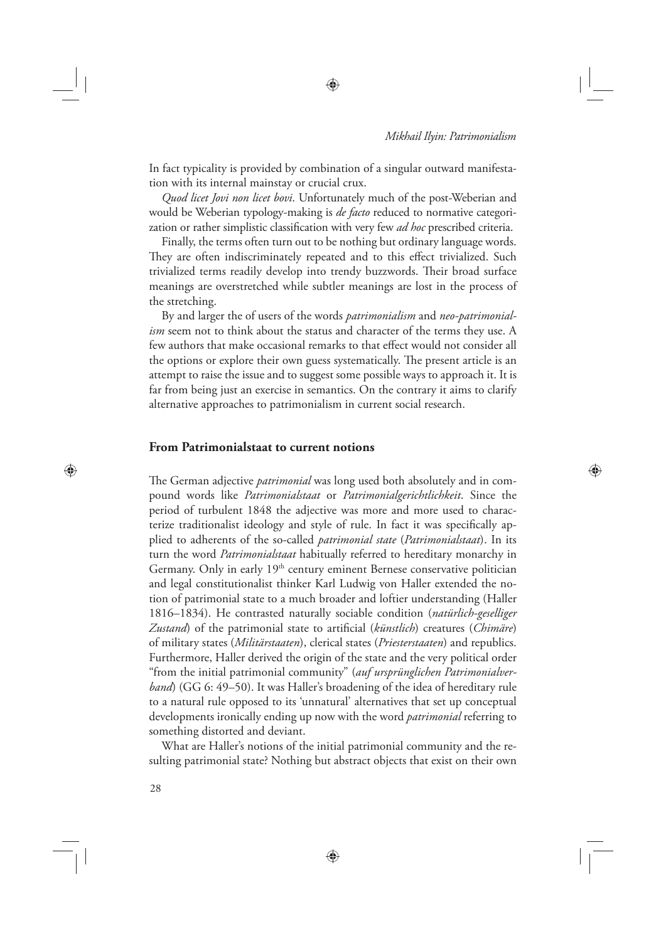⊕

In fact typicality is provided by combination of a singular outward manifestation with its internal mainstay or crucial crux.

⊕

*Quod licet Jovi non licet bovi*. Unfortunately much of the post-Weberian and would be Weberian typology-making is *de facto* reduced to normative categorization or rather simplistic classification with very few *ad hoc* prescribed criteria.

Finally, the terms often turn out to be nothing but ordinary language words. They are often indiscriminately repeated and to this effect trivialized. Such trivialized terms readily develop into trendy buzzwords. Their broad surface meanings are overstretched while subtler meanings are lost in the process of the stretching.

By and larger the of users of the words *patrimonialism* and *neo-patrimonialism* seem not to think about the status and character of the terms they use. A few authors that make occasional remarks to that effect would not consider all the options or explore their own guess systematically. The present article is an attempt to raise the issue and to suggest some possible ways to approach it. It is far from being just an exercise in semantics. On the contrary it aims to clarify alternative approaches to patrimonialism in current social research.

## **From Patrimonialstaat to current notions**

The German adjective *patrimonial* was long used both absolutely and in compound words like *Patrimonialstaat* or *Patrimonialgerichtlichkeit*. Since the period of turbulent 1848 the adjective was more and more used to characterize traditionalist ideology and style of rule. In fact it was specifically applied to adherents of the so-called *patrimonial state* (*Patrimonialstaat*). In its turn the word *Patrimonialstaat* habitually referred to hereditary monarchy in Germany. Only in early 19<sup>th</sup> century eminent Bernese conservative politician and legal constitutionalist thinker Karl Ludwig von Haller extended the notion of patrimonial state to a much broader and loftier understanding (Haller 1816–1834). He contrasted naturally sociable condition (*natürlich-geselliger Zustand*) of the patrimonial state to artificial (*künstlich*) creatures (*Chimäre*) of military states (*Militärstaaten*), clerical states (*Priesterstaaten*) and republics. Furthermore, Haller derived the origin of the state and the very political order "from the initial patrimonial community" (*auf ursprünglichen Patrimonialverband*) (GG 6: 49–50). It was Haller's broadening of the idea of hereditary rule to a natural rule opposed to its 'unnatural' alternatives that set up conceptual developments ironically ending up now with the word *patrimonial* referring to something distorted and deviant.

What are Haller's notions of the initial patrimonial community and the resulting patrimonial state? Nothing but abstract objects that exist on their own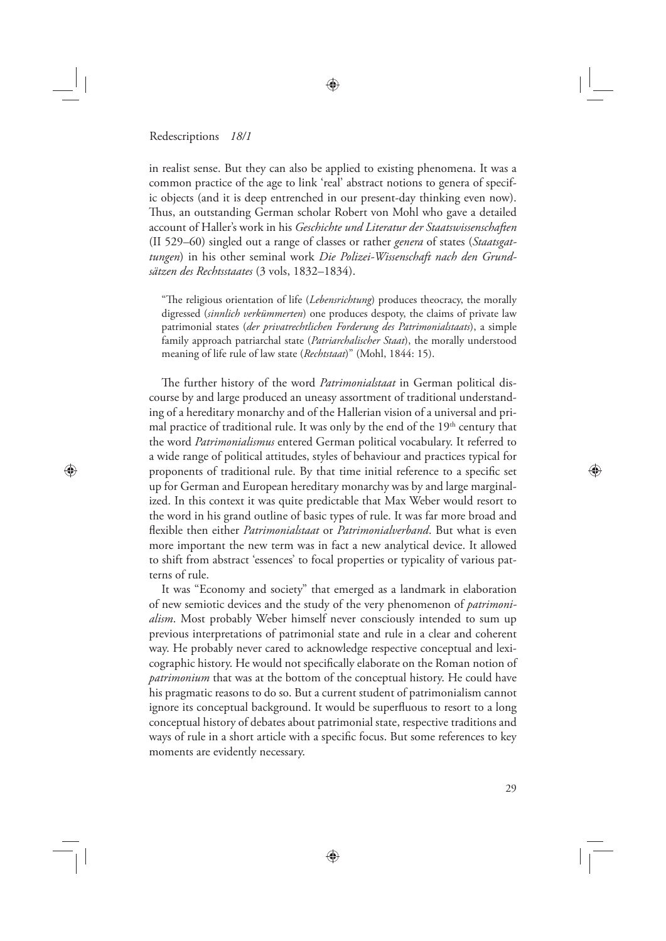⊕

in realist sense. But they can also be applied to existing phenomena. It was a common practice of the age to link 'real' abstract notions to genera of specific objects (and it is deep entrenched in our present-day thinking even now). Thus, an outstanding German scholar Robert von Mohl who gave a detailed account of Haller's work in his *Geschichte und Literatur der Staatswissenschaften* (II 529–60) singled out a range of classes or rather *genera* of states (*Staatsgattungen*) in his other seminal work *Die Polizei-Wissenschaft nach den Grundsätzen des Rechtsstaates* (3 vols, 1832–1834).

"The religious orientation of life (*Lebensrichtung*) produces theocracy, the morally digressed (*sinnlich verkümmerten*) one produces despoty, the claims of private law patrimonial states (*der privatrechtlichen Forderung des Patrimonialstaats*), a simple family approach patriarchal state (*Patriarchalischer Staat*), the morally understood meaning of life rule of law state (*Rechtstaat*)" (Mohl, 1844: 15).

The further history of the word *Patrimonialstaat* in German political discourse by and large produced an uneasy assortment of traditional understanding of a hereditary monarchy and of the Hallerian vision of a universal and primal practice of traditional rule. It was only by the end of the 19<sup>th</sup> century that the word *Patrimonialismus* entered German political vocabulary. It referred to a wide range of political attitudes, styles of behaviour and practices typical for proponents of traditional rule. By that time initial reference to a specific set up for German and European hereditary monarchy was by and large marginalized. In this context it was quite predictable that Max Weber would resort to the word in his grand outline of basic types of rule. It was far more broad and flexible then either *Patrimonialstaat* or *Patrimonialverband*. But what is even more important the new term was in fact a new analytical device. It allowed to shift from abstract 'essences' to focal properties or typicality of various patterns of rule.

It was "Economy and society" that emerged as a landmark in elaboration of new semiotic devices and the study of the very phenomenon of *patrimonialism*. Most probably Weber himself never consciously intended to sum up previous interpretations of patrimonial state and rule in a clear and coherent way. He probably never cared to acknowledge respective conceptual and lexicographic history. He would not specifically elaborate on the Roman notion of *patrimonium* that was at the bottom of the conceptual history. He could have his pragmatic reasons to do so. But a current student of patrimonialism cannot ignore its conceptual background. It would be superfluous to resort to a long conceptual history of debates about patrimonial state, respective traditions and ways of rule in a short article with a specific focus. But some references to key moments are evidently necessary.

⊕

◈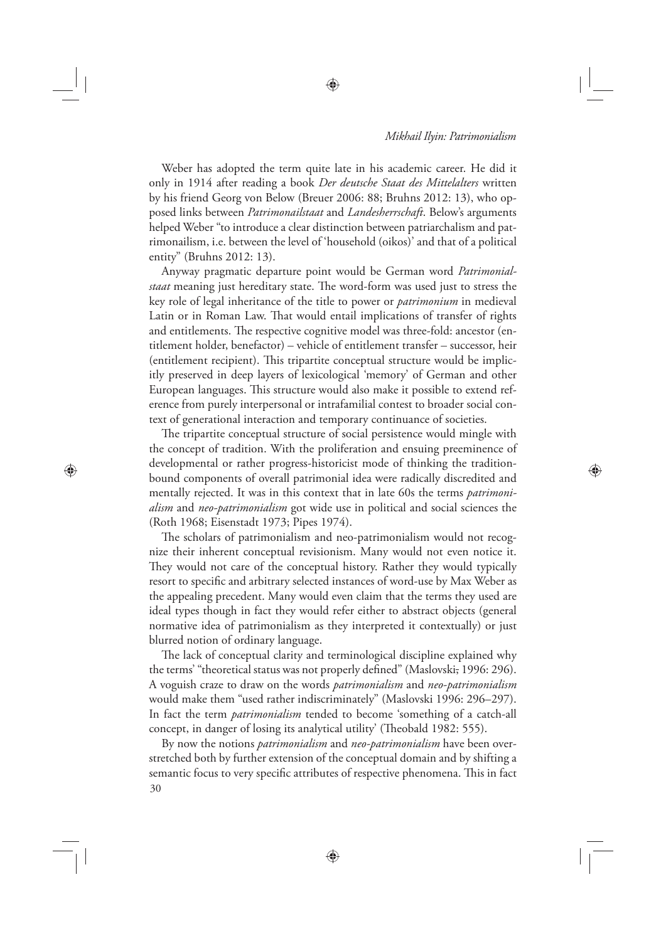◈

Weber has adopted the term quite late in his academic career. He did it only in 1914 after reading a book *Der deutsche Staat des Mittelalters* written by his friend Georg von Below (Breuer 2006: 88; Bruhns 2012: 13), who opposed links between *Patrimonailstaat* and *Landesherrschaft*. Below's arguments helped Weber "to introduce a clear distinction between patriarchalism and patrimonailism, i.e. between the level of 'household (oikos)' and that of a political entity" (Bruhns 2012: 13).

Anyway pragmatic departure point would be German word *Patrimonial*staat meaning just hereditary state. The word-form was used just to stress the key role of legal inheritance of the title to power or *patrimonium* in medieval Latin or in Roman Law. That would entail implications of transfer of rights and entitlements. The respective cognitive model was three-fold: ancestor (entitlement holder, benefactor) – vehicle of entitlement transfer – successor, heir (entitlement recipient). This tripartite conceptual structure would be implicitly preserved in deep layers of lexicological 'memory' of German and other European languages. This structure would also make it possible to extend reference from purely interpersonal or intrafamilial contest to broader social context of generational interaction and temporary continuance of societies.

The tripartite conceptual structure of social persistence would mingle with the concept of tradition. With the proliferation and ensuing preeminence of developmental or rather progress-historicist mode of thinking the traditionbound components of overall patrimonial idea were radically discredited and mentally rejected. It was in this context that in late 60s the terms *patrimonialism* and *neo-patrimonialism* got wide use in political and social sciences the (Roth 1968; Eisenstadt 1973; Pipes 1974).

⊕

The scholars of patrimonialism and neo-patrimonialism would not recognize their inherent conceptual revisionism. Many would not even notice it. They would not care of the conceptual history. Rather they would typically resort to specific and arbitrary selected instances of word-use by Max Weber as the appealing precedent. Many would even claim that the terms they used are ideal types though in fact they would refer either to abstract objects (general normative idea of patrimonialism as they interpreted it contextually) or just blurred notion of ordinary language.

The lack of conceptual clarity and terminological discipline explained why the terms' "theoretical status was not properly defined" (Maslovski, 1996: 296). A voguish craze to draw on the words *patrimonialism* and *neo-patrimonialism* would make them "used rather indiscriminately" (Maslovski 1996: 296–297). In fact the term *patrimonialism* tended to become 'something of a catch-all concept, in danger of losing its analytical utility' (Theobald 1982: 555).

30 By now the notions *patrimonialism* and *neo-patrimonialism* have been overstretched both by further extension of the conceptual domain and by shifting a semantic focus to very specific attributes of respective phenomena. This in fact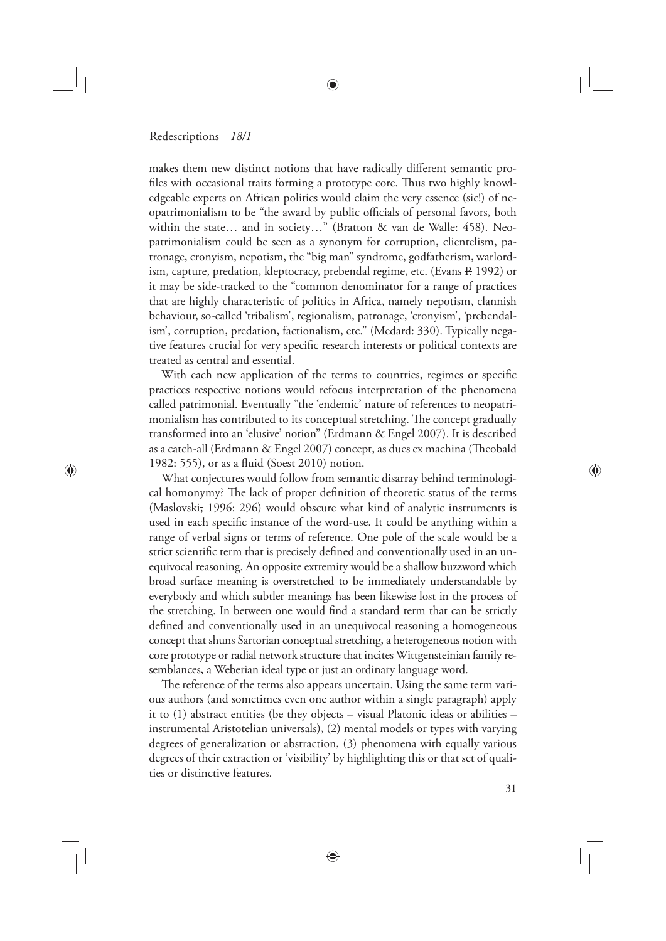⊕

makes them new distinct notions that have radically different semantic profiles with occasional traits forming a prototype core. Thus two highly knowledgeable experts on African politics would claim the very essence (sic!) of neopatrimonialism to be "the award by public officials of personal favors, both within the state… and in society…" (Bratton & van de Walle: 458). Neopatrimonialism could be seen as a synonym for corruption, clientelism, patronage, cronyism, nepotism, the "big man" syndrome, godfatherism, warlordism, capture, predation, kleptocracy, prebendal regime, etc. (Evans P. 1992) or it may be side-tracked to the "common denominator for a range of practices that are highly characteristic of politics in Africa, namely nepotism, clannish behaviour, so-called 'tribalism', regionalism, patronage, 'cronyism', 'prebendalism', corruption, predation, factionalism, etc." (Medard: 330). Typically negative features crucial for very specific research interests or political contexts are treated as central and essential.

With each new application of the terms to countries, regimes or specific practices respective notions would refocus interpretation of the phenomena called patrimonial. Eventually "the 'endemic' nature of references to neopatrimonialism has contributed to its conceptual stretching. The concept gradually transformed into an 'elusive' notion" (Erdmann & Engel 2007). It is described as a catch-all (Erdmann & Engel 2007) concept, as dues ex machina (Theobald 1982: 555), or as a fluid (Soest 2010) notion.

What conjectures would follow from semantic disarray behind terminological homonymy? The lack of proper definition of theoretic status of the terms (Maslovski, 1996: 296) would obscure what kind of analytic instruments is used in each specific instance of the word-use. It could be anything within a range of verbal signs or terms of reference. One pole of the scale would be a strict scientific term that is precisely defined and conventionally used in an unequivocal reasoning. An opposite extremity would be a shallow buzzword which broad surface meaning is overstretched to be immediately understandable by everybody and which subtler meanings has been likewise lost in the process of the stretching. In between one would find a standard term that can be strictly defined and conventionally used in an unequivocal reasoning a homogeneous concept that shuns Sartorian conceptual stretching, a heterogeneous notion with core prototype or radial network structure that incites Wittgensteinian family resemblances, a Weberian ideal type or just an ordinary language word.

The reference of the terms also appears uncertain. Using the same term various authors (and sometimes even one author within a single paragraph) apply it to (1) abstract entities (be they objects – visual Platonic ideas or abilities – instrumental Aristotelian universals), (2) mental models or types with varying degrees of generalization or abstraction, (3) phenomena with equally various degrees of their extraction or 'visibility' by highlighting this or that set of qualities or distinctive features.

⊕

31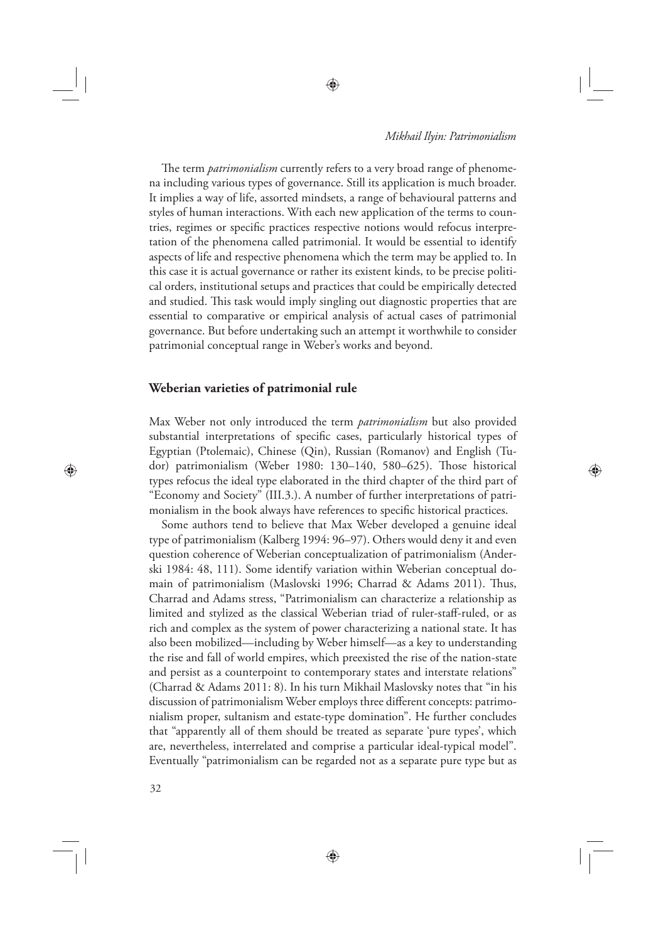⊕

The term *patrimonialism* currently refers to a very broad range of phenomena including various types of governance. Still its application is much broader. It implies a way of life, assorted mindsets, a range of behavioural patterns and styles of human interactions. With each new application of the terms to countries, regimes or specific practices respective notions would refocus interpretation of the phenomena called patrimonial. It would be essential to identify aspects of life and respective phenomena which the term may be applied to. In this case it is actual governance or rather its existent kinds, to be precise political orders, institutional setups and practices that could be empirically detected and studied. This task would imply singling out diagnostic properties that are essential to comparative or empirical analysis of actual cases of patrimonial governance. But before undertaking such an attempt it worthwhile to consider patrimonial conceptual range in Weber's works and beyond.

## **Weberian varieties of patrimonial rule**

Max Weber not only introduced the term *patrimonialism* but also provided substantial interpretations of specific cases, particularly historical types of Egyptian (Ptolemaic), Chinese (Qin), Russian (Romanov) and English (Tudor) patrimonialism (Weber 1980: 130-140, 580-625). Those historical types refocus the ideal type elaborated in the third chapter of the third part of "Economy and Society" (III.3.). A number of further interpretations of patrimonialism in the book always have references to specific historical practices.

Some authors tend to believe that Max Weber developed a genuine ideal type of patrimonialism (Kalberg 1994: 96–97). Others would deny it and even question coherence of Weberian conceptualization of patrimonialism (Anderski 1984: 48, 111). Some identify variation within Weberian conceptual domain of patrimonialism (Maslovski 1996; Charrad & Adams 2011). Thus, Charrad and Adams stress, "Patrimonialism can characterize a relationship as limited and stylized as the classical Weberian triad of ruler-staff -ruled, or as rich and complex as the system of power characterizing a national state. It has also been mobilized—including by Weber himself—as a key to understanding the rise and fall of world empires, which preexisted the rise of the nation-state and persist as a counterpoint to contemporary states and interstate relations" (Charrad & Adams 2011: 8). In his turn Mikhail Maslovsky notes that "in his discussion of patrimonialism Weber employs three different concepts: patrimonialism proper, sultanism and estate-type domination". He further concludes that "apparently all of them should be treated as separate 'pure types', which are, nevertheless, interrelated and comprise a particular ideal-typical model". Eventually "patrimonialism can be regarded not as a separate pure type but as

⊕

32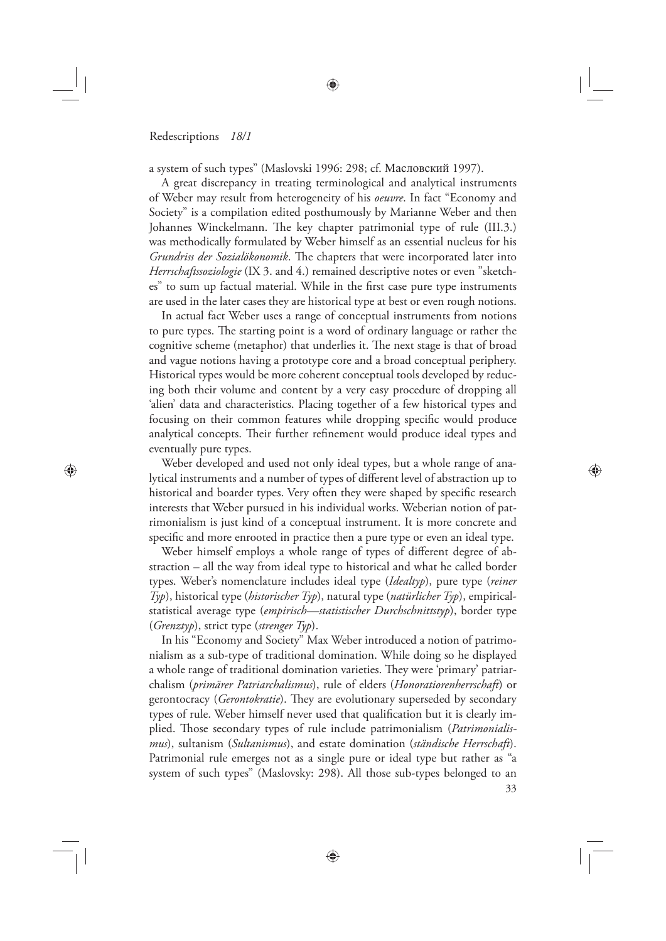⊕

a system of such types" (Maslovski 1996: 298; cf. Масловский 1997).

A great discrepancy in treating terminological and analytical instruments of Weber may result from heterogeneity of his *oeuvre*. In fact "Economy and Society" is a compilation edited posthumously by Marianne Weber and then Johannes Winckelmann. The key chapter patrimonial type of rule (III.3.) was methodically formulated by Weber himself as an essential nucleus for his *Grundriss der Sozialökonomik*. The chapters that were incorporated later into *Herrschaftssoziologie* (IX 3. and 4.) remained descriptive notes or even "sketches" to sum up factual material. While in the first case pure type instruments are used in the later cases they are historical type at best or even rough notions.

In actual fact Weber uses a range of conceptual instruments from notions to pure types. The starting point is a word of ordinary language or rather the cognitive scheme (metaphor) that underlies it. The next stage is that of broad and vague notions having a prototype core and a broad conceptual periphery. Historical types would be more coherent conceptual tools developed by reducing both their volume and content by a very easy procedure of dropping all 'alien' data and characteristics. Placing together of a few historical types and focusing on their common features while dropping specific would produce analytical concepts. Their further refinement would produce ideal types and eventually pure types.

Weber developed and used not only ideal types, but a whole range of analytical instruments and a number of types of different level of abstraction up to historical and boarder types. Very often they were shaped by specific research interests that Weber pursued in his individual works. Weberian notion of patrimonialism is just kind of a conceptual instrument. It is more concrete and specific and more enrooted in practice then a pure type or even an ideal type.

Weber himself employs a whole range of types of different degree of abstraction – all the way from ideal type to historical and what he called border types. Weber's nomenclature includes ideal type (*Idealtyp*), pure type (*reiner Typ*), historical type (*historischer Typ*), natural type (*natürlicher Typ*), empiricalstatistical average type (*empirisch—statistischer Durchschnittstyp*), border type (*Grenztyp*), strict type (*strenger Typ*).

In his "Economy and Society" Max Weber introduced a notion of patrimonialism as a sub-type of traditional domination. While doing so he displayed a whole range of traditional domination varieties. They were 'primary' patriarchalism (*primärer Patriarchalismus*), rule of elders (*Honoratiorenherrschaft*) or gerontocracy (*Gerontokratie*). They are evolutionary superseded by secondary types of rule. Weber himself never used that qualification but it is clearly implied. Those secondary types of rule include patrimonialism (Patrimonialis*mus*), sultanism (*Sultanismus*), and estate domination (*ständische Herrschaft*). Patrimonial rule emerges not as a single pure or ideal type but rather as "a system of such types" (Maslovsky: 298). All those sub-types belonged to an

33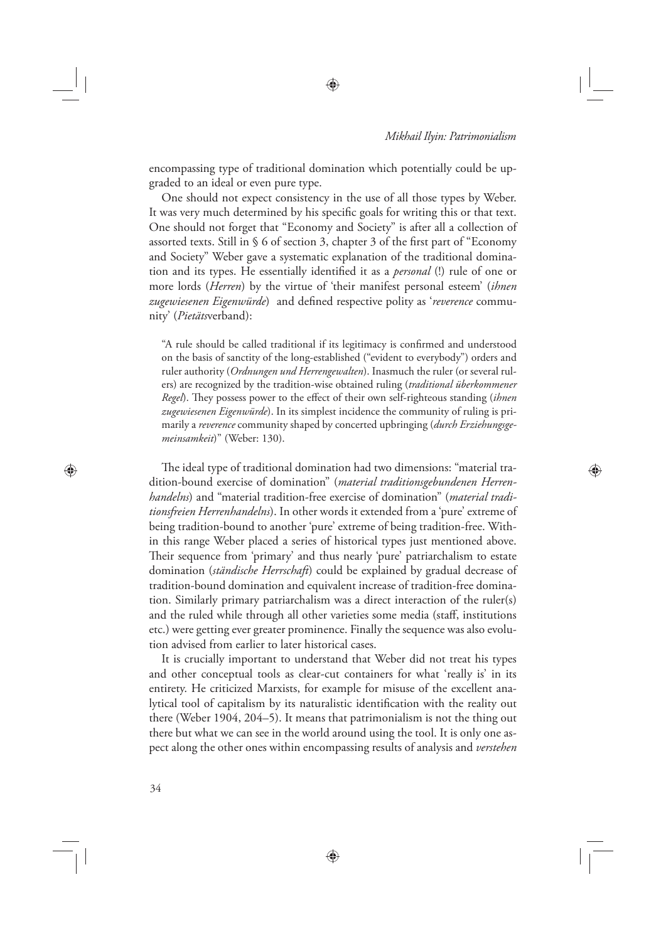⊕

encompassing type of traditional domination which potentially could be upgraded to an ideal or even pure type.

⊕

One should not expect consistency in the use of all those types by Weber. It was very much determined by his specific goals for writing this or that text. One should not forget that "Economy and Society" is after all a collection of assorted texts. Still in  $\S$  6 of section 3, chapter 3 of the first part of "Economy and Society" Weber gave a systematic explanation of the traditional domination and its types. He essentially identified it as a *personal* (!) rule of one or more lords (*Herren*) by the virtue of 'their manifest personal esteem' (*ihnen*  zugewiesenen Eigenwürde) and defined respective polity as 'reverence community' (*Pietäts*verband):

"A rule should be called traditional if its legitimacy is confirmed and understood on the basis of sanctity of the long-established ("evident to everybody") orders and ruler authority (*Ordnungen und Herrengewalten*). Inasmuch the ruler (or several rulers) are recognized by the tradition-wise obtained ruling (*traditional überkommener Regel*). They possess power to the effect of their own self-righteous standing (*ihnen zugewiesenen Eigenwürde*). In its simplest incidence the community of ruling is primarily a *reverence* community shaped by concerted upbringing (*durch Erziehungsgemeinsamkeit*)" (Weber: 130).

The ideal type of traditional domination had two dimensions: "material tradition-bound exercise of domination" (*material traditionsgebundenen Herrenhandelns*) and "material tradition-free exercise of domination" (*material traditionsfreien Herrenhandelns*). In other words it extended from a 'pure' extreme of being tradition-bound to another 'pure' extreme of being tradition-free. Within this range Weber placed a series of historical types just mentioned above. Their sequence from 'primary' and thus nearly 'pure' patriarchalism to estate domination (*ständische Herrschaft*) could be explained by gradual decrease of tradition-bound domination and equivalent increase of tradition-free domination. Similarly primary patriarchalism was a direct interaction of the ruler(s) and the ruled while through all other varieties some media (staff, institutions etc.) were getting ever greater prominence. Finally the sequence was also evolution advised from earlier to later historical cases.

It is crucially important to understand that Weber did not treat his types and other conceptual tools as clear-cut containers for what 'really is' in its entirety. He criticized Marxists, for example for misuse of the excellent analytical tool of capitalism by its naturalistic identification with the reality out there (Weber 1904, 204–5). It means that patrimonialism is not the thing out there but what we can see in the world around using the tool. It is only one aspect along the other ones within encompassing results of analysis and *verstehen*

⊕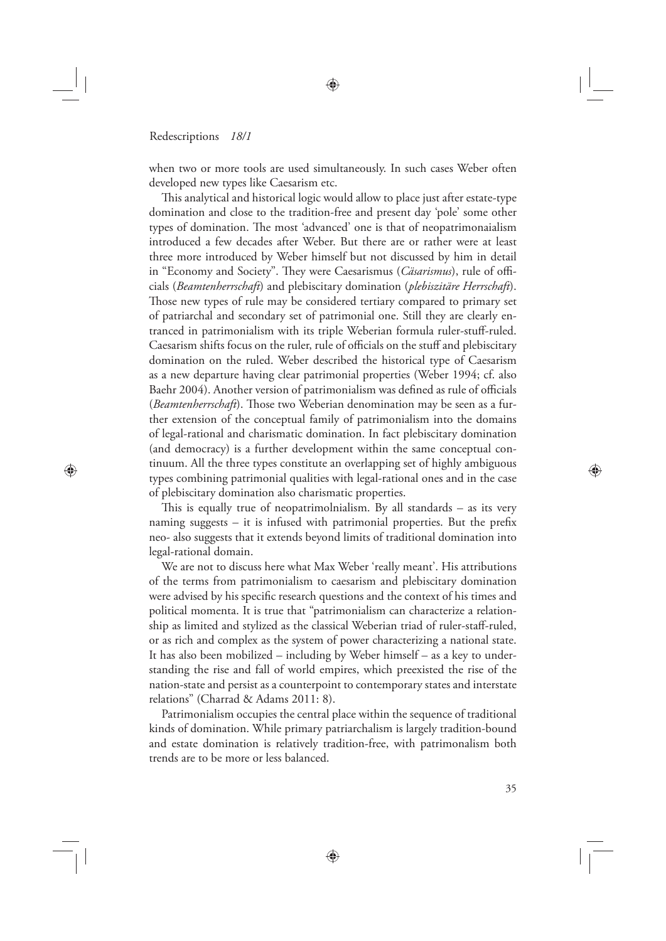⊕

when two or more tools are used simultaneously. In such cases Weber often developed new types like Caesarism etc.

This analytical and historical logic would allow to place just after estate-type domination and close to the tradition-free and present day 'pole' some other types of domination. The most 'advanced' one is that of neopatrimonaialism introduced a few decades after Weber. But there are or rather were at least three more introduced by Weber himself but not discussed by him in detail in "Economy and Society". They were Caesarismus (*Cäsarismus*), rule of officials (*Beamtenherrschaft*) and plebiscitary domination (*plebiszitäre Herrschaft*). Those new types of rule may be considered tertiary compared to primary set of patriarchal and secondary set of patrimonial one. Still they are clearly entranced in patrimonialism with its triple Weberian formula ruler-stuff-ruled. Caesarism shifts focus on the ruler, rule of officials on the stuff and plebiscitary domination on the ruled. Weber described the historical type of Caesarism as a new departure having clear patrimonial properties (Weber 1994; cf. also Baehr 2004). Another version of patrimonialism was defined as rule of officials (*Beamtenherrschaft*). Those two Weberian denomination may be seen as a further extension of the conceptual family of patrimonialism into the domains of legal-rational and charismatic domination. In fact plebiscitary domination (and democracy) is a further development within the same conceptual continuum. All the three types constitute an overlapping set of highly ambiguous types combining patrimonial qualities with legal-rational ones and in the case of plebiscitary domination also charismatic properties.

This is equally true of neopatrimolnialism. By all standards  $-$  as its very naming suggests  $-$  it is infused with patrimonial properties. But the prefix neo- also suggests that it extends beyond limits of traditional domination into legal-rational domain.

We are not to discuss here what Max Weber 'really meant'. His attributions of the terms from patrimonialism to caesarism and plebiscitary domination were advised by his specific research questions and the context of his times and political momenta. It is true that "patrimonialism can characterize a relationship as limited and stylized as the classical Weberian triad of ruler-staff-ruled, or as rich and complex as the system of power characterizing a national state. It has also been mobilized – including by Weber himself – as a key to understanding the rise and fall of world empires, which preexisted the rise of the nation-state and persist as a counterpoint to contemporary states and interstate relations" (Charrad & Adams 2011: 8).

Patrimonialism occupies the central place within the sequence of traditional kinds of domination. While primary patriarchalism is largely tradition-bound and estate domination is relatively tradition-free, with patrimonalism both trends are to be more or less balanced.

⊕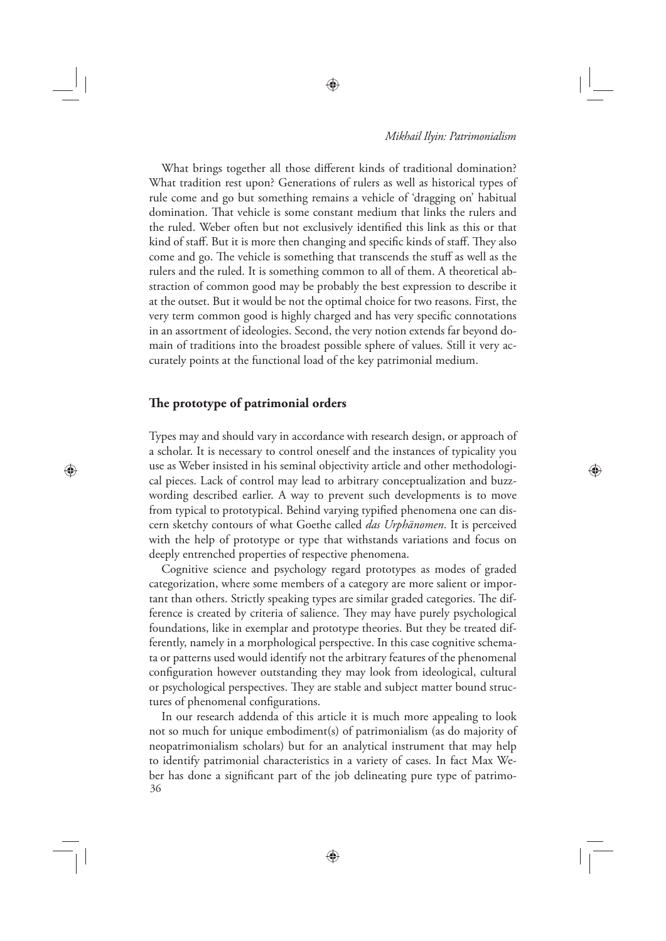◈

What brings together all those different kinds of traditional domination? What tradition rest upon? Generations of rulers as well as historical types of rule come and go but something remains a vehicle of 'dragging on' habitual domination. That vehicle is some constant medium that links the rulers and the ruled. Weber often but not exclusively identified this link as this or that kind of staff. But it is more then changing and specific kinds of staff. They also come and go. The vehicle is something that transcends the stuff as well as the rulers and the ruled. It is something common to all of them. A theoretical abstraction of common good may be probably the best expression to describe it at the outset. But it would be not the optimal choice for two reasons. First, the very term common good is highly charged and has very specific connotations in an assortment of ideologies. Second, the very notion extends far beyond domain of traditions into the broadest possible sphere of values. Still it very accurately points at the functional load of the key patrimonial medium.

## The prototype of patrimonial orders

⊕

Types may and should vary in accordance with research design, or approach of a scholar. It is necessary to control oneself and the instances of typicality you use as Weber insisted in his seminal objectivity article and other methodological pieces. Lack of control may lead to arbitrary conceptualization and buzzwording described earlier. A way to prevent such developments is to move from typical to prototypical. Behind varying typified phenomena one can discern sketchy contours of what Goethe called *das Urphänomen*. It is perceived with the help of prototype or type that withstands variations and focus on deeply entrenched properties of respective phenomena.

Cognitive science and psychology regard prototypes as modes of graded categorization, where some members of a category are more salient or important than others. Strictly speaking types are similar graded categories. The difference is created by criteria of salience. They may have purely psychological foundations, like in exemplar and prototype theories. But they be treated differently, namely in a morphological perspective. In this case cognitive schemata or patterns used would identify not the arbitrary features of the phenomenal configuration however outstanding they may look from ideological, cultural or psychological perspectives. They are stable and subject matter bound structures of phenomenal configurations.

36 In our research addenda of this article it is much more appealing to look not so much for unique embodiment(s) of patrimonialism (as do majority of neopatrimonialism scholars) but for an analytical instrument that may help to identify patrimonial characteristics in a variety of cases. In fact Max Weber has done a significant part of the job delineating pure type of patrimo-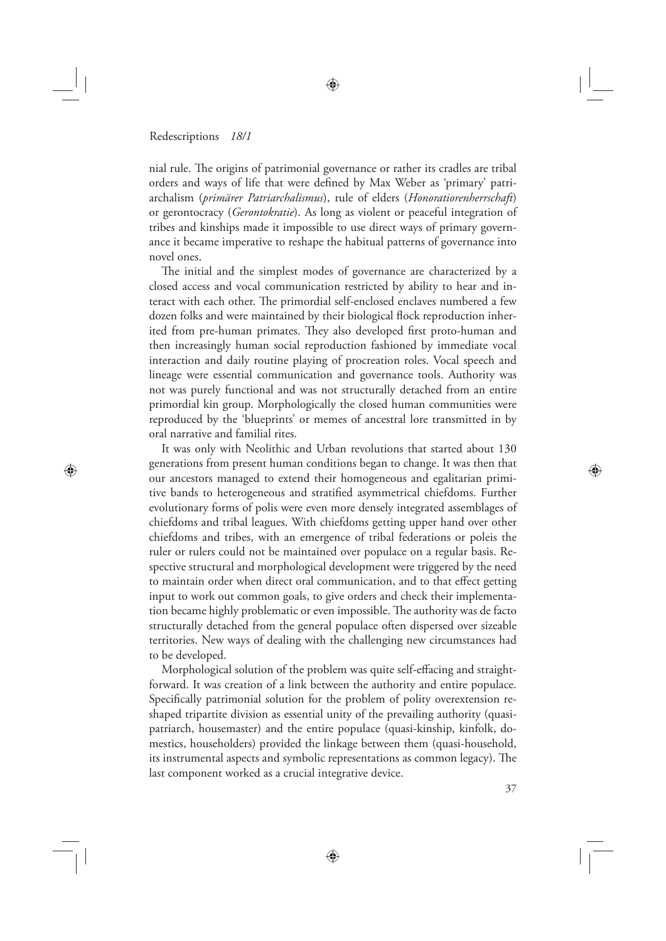⊕

nial rule. The origins of patrimonial governance or rather its cradles are tribal orders and ways of life that were defined by Max Weber as 'primary' patriarchalism (*primärer Patriarchalismus*), rule of elders (*Honoratiorenherrschaft*) or gerontocracy (*Gerontokratie*). As long as violent or peaceful integration of tribes and kinships made it impossible to use direct ways of primary governance it became imperative to reshape the habitual patterns of governance into novel ones.

The initial and the simplest modes of governance are characterized by a closed access and vocal communication restricted by ability to hear and interact with each other. The primordial self-enclosed enclaves numbered a few dozen folks and were maintained by their biological flock reproduction inherited from pre-human primates. They also developed first proto-human and then increasingly human social reproduction fashioned by immediate vocal interaction and daily routine playing of procreation roles. Vocal speech and lineage were essential communication and governance tools. Authority was not was purely functional and was not structurally detached from an entire primordial kin group. Morphologically the closed human communities were reproduced by the 'blueprints' or memes of ancestral lore transmitted in by oral narrative and familial rites.

It was only with Neolithic and Urban revolutions that started about 130 generations from present human conditions began to change. It was then that our ancestors managed to extend their homogeneous and egalitarian primitive bands to heterogeneous and stratified asymmetrical chiefdoms. Further evolutionary forms of polis were even more densely integrated assemblages of chiefdoms and tribal leagues. With chiefdoms getting upper hand over other chiefdoms and tribes, with an emergence of tribal federations or poleis the ruler or rulers could not be maintained over populace on a regular basis. Respective structural and morphological development were triggered by the need to maintain order when direct oral communication, and to that effect getting input to work out common goals, to give orders and check their implementation became highly problematic or even impossible. The authority was de facto structurally detached from the general populace often dispersed over sizeable territories. New ways of dealing with the challenging new circumstances had to be developed.

Morphological solution of the problem was quite self-effacing and straightforward. It was creation of a link between the authority and entire populace. Specifically patrimonial solution for the problem of polity overextension reshaped tripartite division as essential unity of the prevailing authority (quasipatriarch, housemaster) and the entire populace (quasi-kinship, kinfolk, domestics, householders) provided the linkage between them (quasi-household, its instrumental aspects and symbolic representations as common legacy). The last component worked as a crucial integrative device.

◈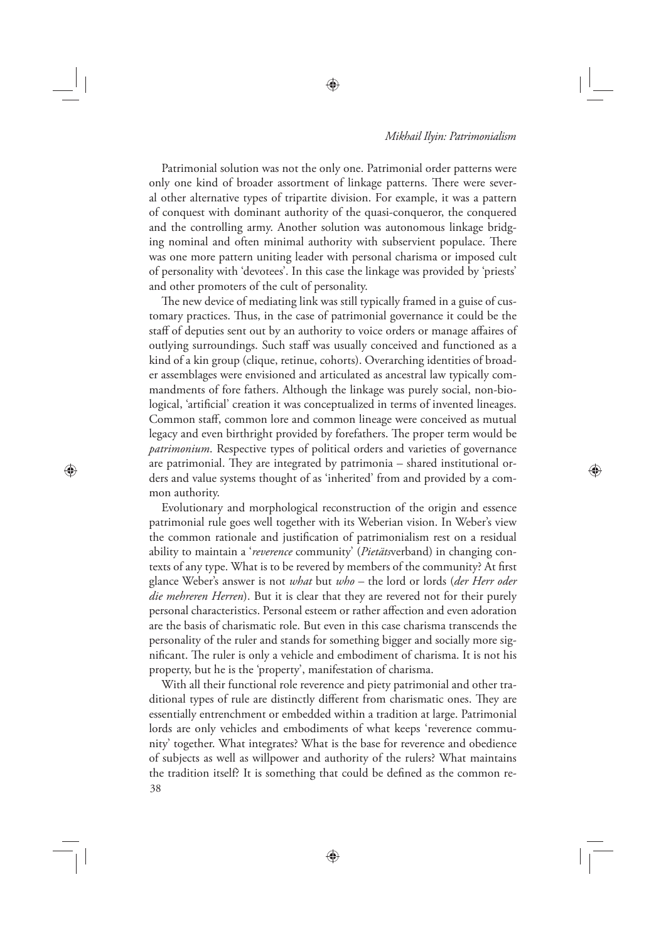◈

Patrimonial solution was not the only one. Patrimonial order patterns were only one kind of broader assortment of linkage patterns. There were several other alternative types of tripartite division. For example, it was a pattern of conquest with dominant authority of the quasi-conqueror, the conquered and the controlling army. Another solution was autonomous linkage bridging nominal and often minimal authority with subservient populace. There was one more pattern uniting leader with personal charisma or imposed cult of personality with 'devotees'. In this case the linkage was provided by 'priests' and other promoters of the cult of personality.

The new device of mediating link was still typically framed in a guise of customary practices. Thus, in the case of patrimonial governance it could be the staff of deputies sent out by an authority to voice orders or manage affaires of outlying surroundings. Such staff was usually conceived and functioned as a kind of a kin group (clique, retinue, cohorts). Overarching identities of broader assemblages were envisioned and articulated as ancestral law typically commandments of fore fathers. Although the linkage was purely social, non-biological, 'artificial' creation it was conceptualized in terms of invented lineages. Common staff, common lore and common lineage were conceived as mutual legacy and even birthright provided by forefathers. The proper term would be *patrimonium*. Respective types of political orders and varieties of governance are patrimonial. They are integrated by patrimonia  $-$  shared institutional orders and value systems thought of as 'inherited' from and provided by a common authority.

⊕

Evolutionary and morphological reconstruction of the origin and essence patrimonial rule goes well together with its Weberian vision. In Weber's view the common rationale and justification of patrimonialism rest on a residual ability to maintain a '*reverence* community' (*Pietäts*verband) in changing contexts of any type. What is to be revered by members of the community? At first glance Weber's answer is not *what* but *who* – the lord or lords (*der Herr oder die mehreren Herren*). But it is clear that they are revered not for their purely personal characteristics. Personal esteem or rather affection and even adoration are the basis of charismatic role. But even in this case charisma transcends the personality of the ruler and stands for something bigger and socially more significant. The ruler is only a vehicle and embodiment of charisma. It is not his property, but he is the 'property', manifestation of charisma.

38 With all their functional role reverence and piety patrimonial and other traditional types of rule are distinctly different from charismatic ones. They are essentially entrenchment or embedded within a tradition at large. Patrimonial lords are only vehicles and embodiments of what keeps 'reverence community' together. What integrates? What is the base for reverence and obedience of subjects as well as willpower and authority of the rulers? What maintains the tradition itself? It is something that could be defined as the common re-

⊕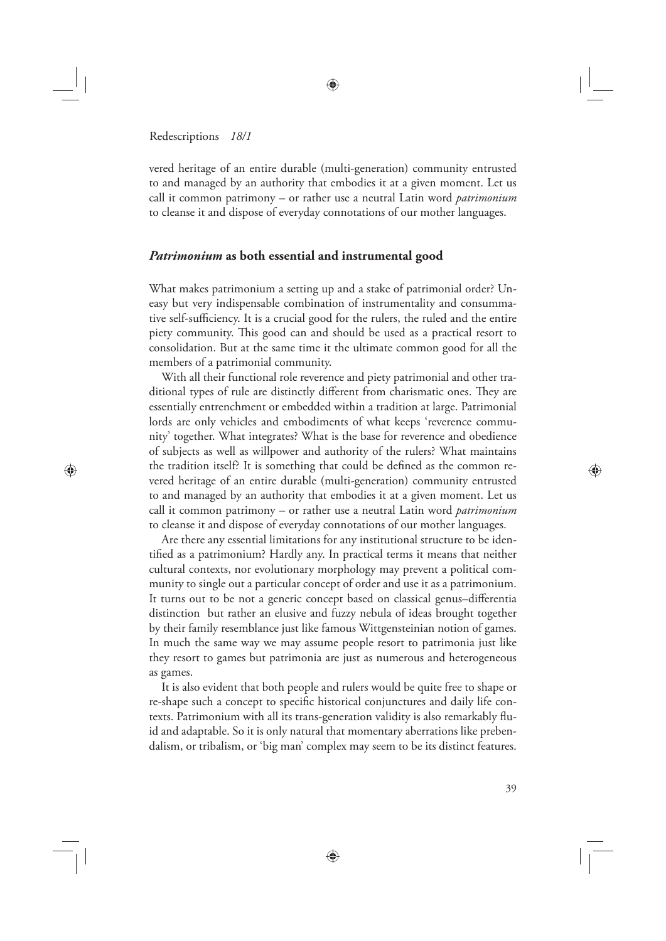⊕

vered heritage of an entire durable (multi-generation) community entrusted to and managed by an authority that embodies it at a given moment. Let us call it common patrimony – or rather use a neutral Latin word *patrimonium* to cleanse it and dispose of everyday connotations of our mother languages.

## *Patrimonium* **as both essential and instrumental good**

What makes patrimonium a setting up and a stake of patrimonial order? Uneasy but very indispensable combination of instrumentality and consummative self-sufficiency. It is a crucial good for the rulers, the ruled and the entire piety community. This good can and should be used as a practical resort to consolidation. But at the same time it the ultimate common good for all the members of a patrimonial community.

With all their functional role reverence and piety patrimonial and other traditional types of rule are distinctly different from charismatic ones. They are essentially entrenchment or embedded within a tradition at large. Patrimonial lords are only vehicles and embodiments of what keeps 'reverence community' together. What integrates? What is the base for reverence and obedience of subjects as well as willpower and authority of the rulers? What maintains the tradition itself? It is something that could be defined as the common revered heritage of an entire durable (multi-generation) community entrusted to and managed by an authority that embodies it at a given moment. Let us call it common patrimony – or rather use a neutral Latin word *patrimonium* to cleanse it and dispose of everyday connotations of our mother languages.

Are there any essential limitations for any institutional structure to be identified as a patrimonium? Hardly any. In practical terms it means that neither cultural contexts, nor evolutionary morphology may prevent a political community to single out a particular concept of order and use it as a patrimonium. It turns out to be not a generic concept based on classical genus-differentia distinction but rather an elusive and fuzzy nebula of ideas brought together by their family resemblance just like famous Wittgensteinian notion of games. In much the same way we may assume people resort to patrimonia just like they resort to games but patrimonia are just as numerous and heterogeneous as games.

It is also evident that both people and rulers would be quite free to shape or re-shape such a concept to specific historical conjunctures and daily life contexts. Patrimonium with all its trans-generation validity is also remarkably fluid and adaptable. So it is only natural that momentary aberrations like prebendalism, or tribalism, or 'big man' complex may seem to be its distinct features.

⊕

◈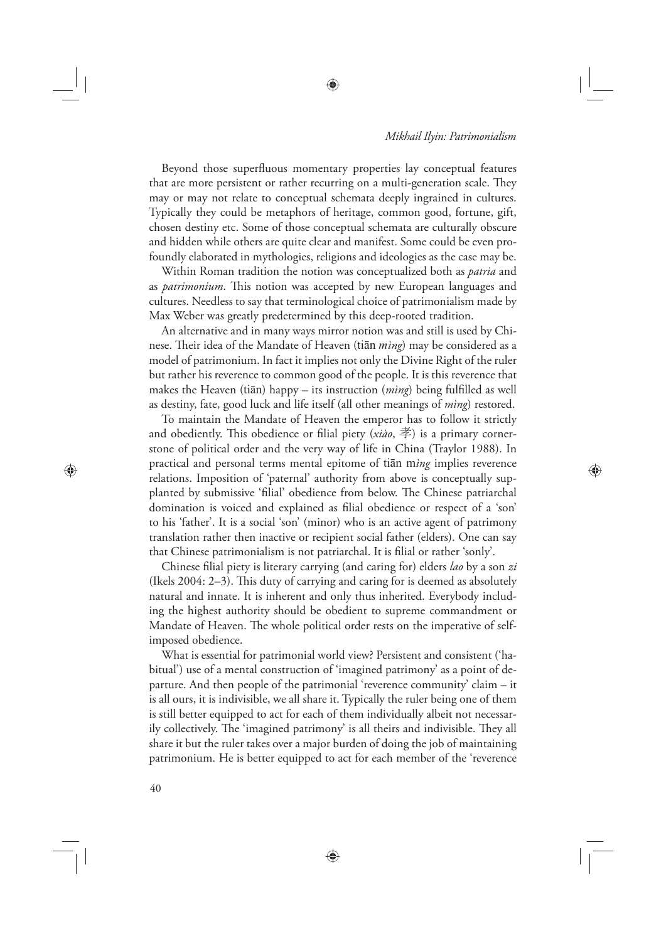Beyond those superfluous momentary properties lay conceptual features that are more persistent or rather recurring on a multi-generation scale. They may or may not relate to conceptual schemata deeply ingrained in cultures. Typically they could be metaphors of heritage, common good, fortune, gift, chosen destiny etc. Some of those conceptual schemata are culturally obscure and hidden while others are quite clear and manifest. Some could be even profoundly elaborated in mythologies, religions and ideologies as the case may be.

Within Roman tradition the notion was conceptualized both as *patria* and as *patrimonium*. This notion was accepted by new European languages and cultures. Needless to say that terminological choice of patrimonialism made by Max Weber was greatly predetermined by this deep-rooted tradition.

An alternative and in many ways mirror notion was and still is used by Chinese. Their idea of the Mandate of Heaven (tian *mìng*) may be considered as a model of patrimonium. In fact it implies not only the Divine Right of the ruler but rather his reverence to common good of the people. It is this reverence that makes the Heaven (tiān) happy – its instruction (*mìng*) being fulfilled as well as destiny, fate, good luck and life itself (all other meanings of *mìng*) restored.

To maintain the Mandate of Heaven the emperor has to follow it strictly and obediently. This obedience or filial piety  $(xiao, \not\equiv)$  is a primary cornerstone of political order and the very way of life in China (Traylor 1988). In practical and personal terms mental epitome of tiān m*ìng* implies reverence relations. Imposition of 'paternal' authority from above is conceptually supplanted by submissive 'filial' obedience from below. The Chinese patriarchal domination is voiced and explained as filial obedience or respect of a 'son' to his 'father'. It is a social 'son' (minor) who is an active agent of patrimony translation rather then inactive or recipient social father (elders). One can say that Chinese patrimonialism is not patriarchal. It is filial or rather 'sonly'.

Chinese filial piety is literary carrying (and caring for) elders *lao* by a son *zi* (Ikels 2004: 2-3). This duty of carrying and caring for is deemed as absolutely natural and innate. It is inherent and only thus inherited. Everybody including the highest authority should be obedient to supreme commandment or Mandate of Heaven. The whole political order rests on the imperative of selfimposed obedience.

What is essential for patrimonial world view? Persistent and consistent ('habitual') use of a mental construction of 'imagined patrimony' as a point of departure. And then people of the patrimonial 'reverence community' claim – it is all ours, it is indivisible, we all share it. Typically the ruler being one of them is still better equipped to act for each of them individually albeit not necessarily collectively. The 'imagined patrimony' is all theirs and indivisible. They all share it but the ruler takes over a major burden of doing the job of maintaining patrimonium. He is better equipped to act for each member of the 'reverence

♠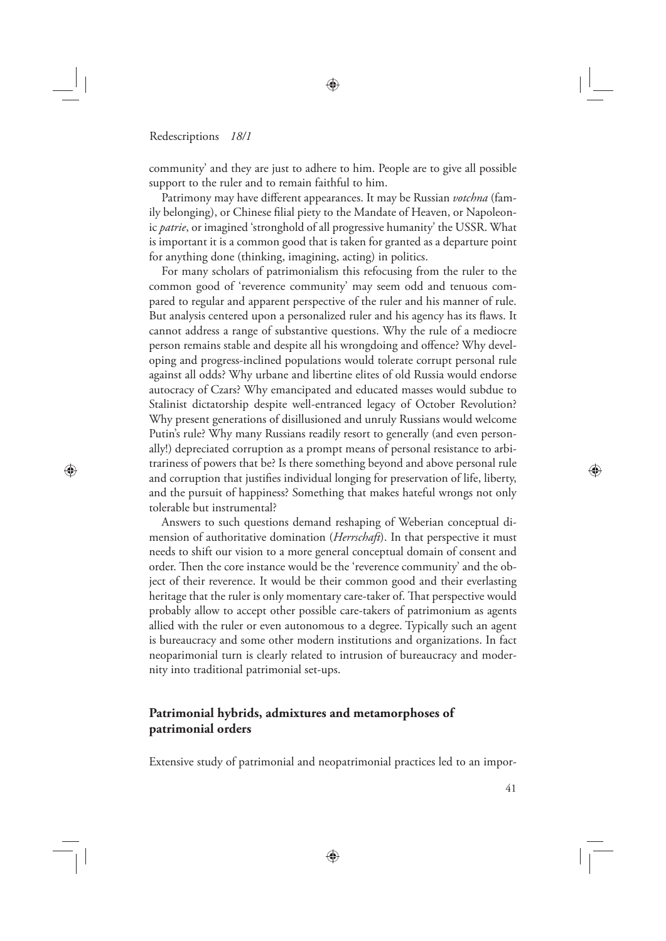⊕

community' and they are just to adhere to him. People are to give all possible support to the ruler and to remain faithful to him.

Patrimony may have different appearances. It may be Russian *votchna* (family belonging), or Chinese filial piety to the Mandate of Heaven, or Napoleonic *patrie*, or imagined 'stronghold of all progressive humanity' the USSR. What is important it is a common good that is taken for granted as a departure point for anything done (thinking, imagining, acting) in politics.

For many scholars of patrimonialism this refocusing from the ruler to the common good of 'reverence community' may seem odd and tenuous compared to regular and apparent perspective of the ruler and his manner of rule. But analysis centered upon a personalized ruler and his agency has its flaws. It cannot address a range of substantive questions. Why the rule of a mediocre person remains stable and despite all his wrongdoing and offence? Why developing and progress-inclined populations would tolerate corrupt personal rule against all odds? Why urbane and libertine elites of old Russia would endorse autocracy of Czars? Why emancipated and educated masses would subdue to Stalinist dictatorship despite well-entranced legacy of October Revolution? Why present generations of disillusioned and unruly Russians would welcome Putin's rule? Why many Russians readily resort to generally (and even personally!) depreciated corruption as a prompt means of personal resistance to arbitrariness of powers that be? Is there something beyond and above personal rule and corruption that justifies individual longing for preservation of life, liberty, and the pursuit of happiness? Something that makes hateful wrongs not only tolerable but instrumental?

Answers to such questions demand reshaping of Weberian conceptual dimension of authoritative domination (*Herrschaft*). In that perspective it must needs to shift our vision to a more general conceptual domain of consent and order. Then the core instance would be the 'reverence community' and the object of their reverence. It would be their common good and their everlasting heritage that the ruler is only momentary care-taker of. That perspective would probably allow to accept other possible care-takers of patrimonium as agents allied with the ruler or even autonomous to a degree. Typically such an agent is bureaucracy and some other modern institutions and organizations. In fact neoparimonial turn is clearly related to intrusion of bureaucracy and modernity into traditional patrimonial set-ups.

# **Patrimonial hybrids, admixtures and metamorphoses of patrimonial orders**

Extensive study of patrimonial and neopatrimonial practices led to an impor-

⊕

◈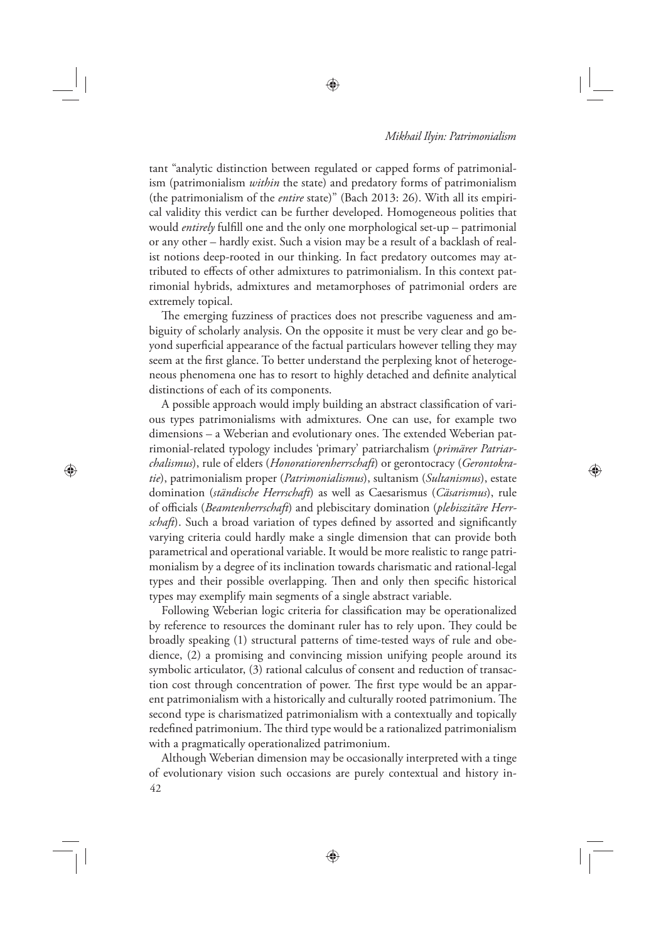⊕

tant "analytic distinction between regulated or capped forms of patrimonialism (patrimonialism *within* the state) and predatory forms of patrimonialism (the patrimonialism of the *entire* state)" (Bach 2013: 26). With all its empirical validity this verdict can be further developed. Homogeneous polities that would *entirely* fulfill one and the only one morphological set-up – patrimonial or any other – hardly exist. Such a vision may be a result of a backlash of realist notions deep-rooted in our thinking. In fact predatory outcomes may attributed to effects of other admixtures to patrimonialism. In this context patrimonial hybrids, admixtures and metamorphoses of patrimonial orders are extremely topical.

The emerging fuzziness of practices does not prescribe vagueness and ambiguity of scholarly analysis. On the opposite it must be very clear and go beyond superficial appearance of the factual particulars however telling they may seem at the first glance. To better understand the perplexing knot of heterogeneous phenomena one has to resort to highly detached and definite analytical distinctions of each of its components.

A possible approach would imply building an abstract classification of various types patrimonialisms with admixtures. One can use, for example two dimensions – a Weberian and evolutionary ones. The extended Weberian patrimonial-related typology includes 'primary' patriarchalism (*primärer Patriarchalismus*), rule of elders (*Honoratiorenherrschaft*) or gerontocracy (*Gerontokratie*), patrimonialism proper (*Patrimonialismus*), sultanism (*Sultanismus*), estate domination (*ständische Herrschaft*) as well as Caesarismus (*Cäsarismus*), rule of offi cials (*Beamtenherrschaft*) and plebiscitary domination (*plebiszitäre Herr*schaft). Such a broad variation of types defined by assorted and significantly varying criteria could hardly make a single dimension that can provide both parametrical and operational variable. It would be more realistic to range patrimonialism by a degree of its inclination towards charismatic and rational-legal types and their possible overlapping. Then and only then specific historical types may exemplify main segments of a single abstract variable.

⊕

Following Weberian logic criteria for classification may be operationalized by reference to resources the dominant ruler has to rely upon. They could be broadly speaking (1) structural patterns of time-tested ways of rule and obedience, (2) a promising and convincing mission unifying people around its symbolic articulator, (3) rational calculus of consent and reduction of transaction cost through concentration of power. The first type would be an apparent patrimonialism with a historically and culturally rooted patrimonium. The second type is charismatized patrimonialism with a contextually and topically redefined patrimonium. The third type would be a rationalized patrimonialism with a pragmatically operationalized patrimonium.

42 Although Weberian dimension may be occasionally interpreted with a tinge of evolutionary vision such occasions are purely contextual and history in-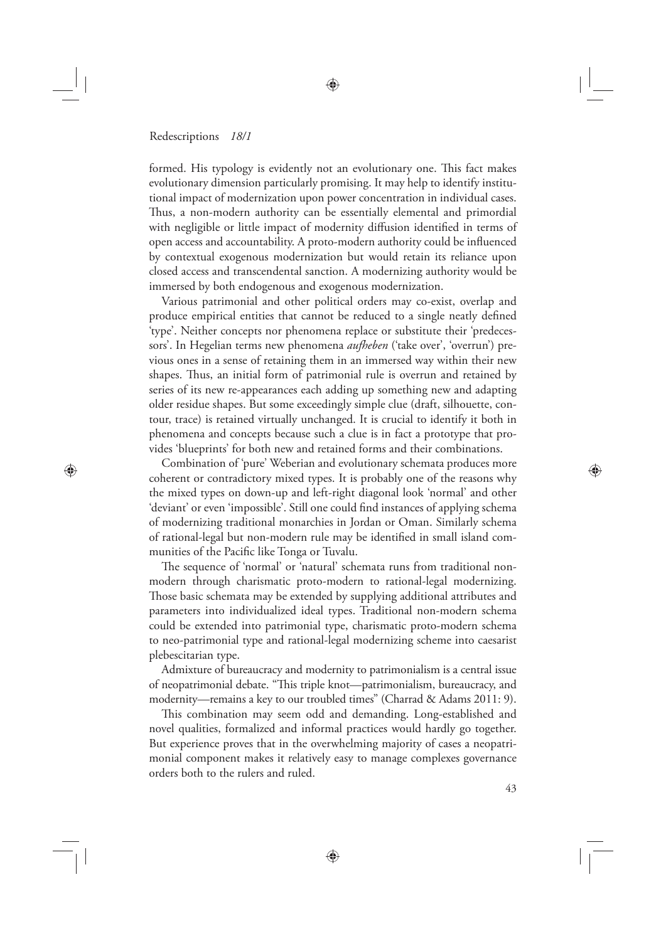⊕

formed. His typology is evidently not an evolutionary one. This fact makes evolutionary dimension particularly promising. It may help to identify institutional impact of modernization upon power concentration in individual cases. Thus, a non-modern authority can be essentially elemental and primordial with negligible or little impact of modernity diffusion identified in terms of open access and accountability. A proto-modern authority could be influenced by contextual exogenous modernization but would retain its reliance upon closed access and transcendental sanction. A modernizing authority would be immersed by both endogenous and exogenous modernization.

Various patrimonial and other political orders may co-exist, overlap and produce empirical entities that cannot be reduced to a single neatly defined 'type'. Neither concepts nor phenomena replace or substitute their 'predecessors'. In Hegelian terms new phenomena *aufheben* ('take over', 'overrun') previous ones in a sense of retaining them in an immersed way within their new shapes. Thus, an initial form of patrimonial rule is overrun and retained by series of its new re-appearances each adding up something new and adapting older residue shapes. But some exceedingly simple clue (draft, silhouette, contour, trace) is retained virtually unchanged. It is crucial to identify it both in phenomena and concepts because such a clue is in fact a prototype that provides 'blueprints' for both new and retained forms and their combinations.

Combination of 'pure' Weberian and evolutionary schemata produces more coherent or contradictory mixed types. It is probably one of the reasons why the mixed types on down-up and left-right diagonal look 'normal' and other 'deviant' or even 'impossible'. Still one could find instances of applying schema of modernizing traditional monarchies in Jordan or Oman. Similarly schema of rational-legal but non-modern rule may be identified in small island communities of the Pacific like Tonga or Tuvalu.

The sequence of 'normal' or 'natural' schemata runs from traditional nonmodern through charismatic proto-modern to rational-legal modernizing. Those basic schemata may be extended by supplying additional attributes and parameters into individualized ideal types. Traditional non-modern schema could be extended into patrimonial type, charismatic proto-modern schema to neo-patrimonial type and rational-legal modernizing scheme into caesarist plebescitarian type.

Admixture of bureaucracy and modernity to patrimonialism is a central issue of neopatrimonial debate. "This triple knot—patrimonialism, bureaucracy, and modernity—remains a key to our troubled times" (Charrad & Adams 2011: 9).

This combination may seem odd and demanding. Long-established and novel qualities, formalized and informal practices would hardly go together. But experience proves that in the overwhelming majority of cases a neopatrimonial component makes it relatively easy to manage complexes governance orders both to the rulers and ruled.

⊕

◈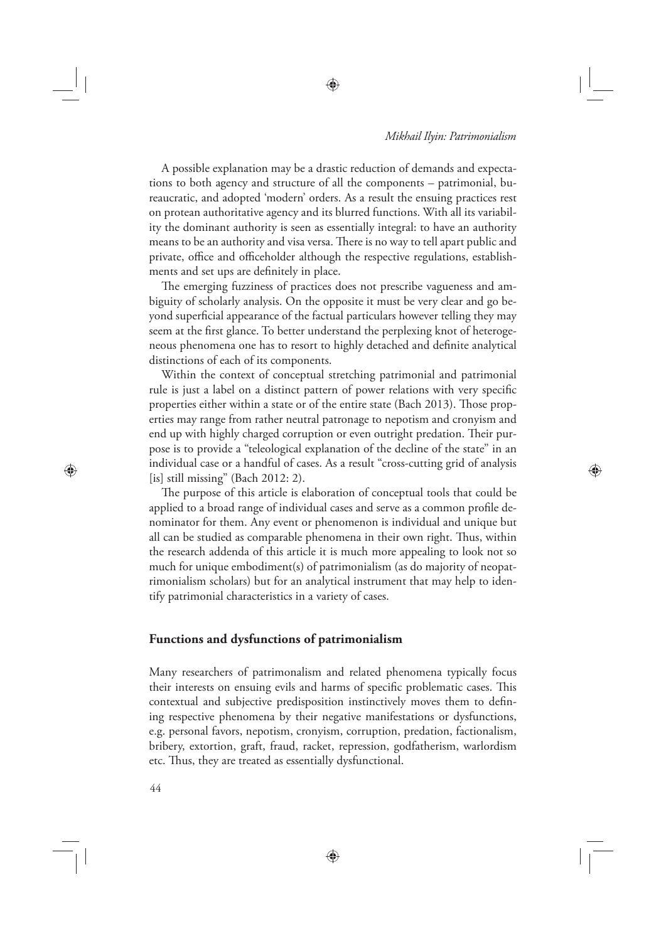◈

A possible explanation may be a drastic reduction of demands and expectations to both agency and structure of all the components – patrimonial, bureaucratic, and adopted 'modern' orders. As a result the ensuing practices rest on protean authoritative agency and its blurred functions. With all its variability the dominant authority is seen as essentially integral: to have an authority means to be an authority and visa versa. There is no way to tell apart public and private, office and officeholder although the respective regulations, establishments and set ups are definitely in place.

⊕

The emerging fuzziness of practices does not prescribe vagueness and ambiguity of scholarly analysis. On the opposite it must be very clear and go beyond superficial appearance of the factual particulars however telling they may seem at the first glance. To better understand the perplexing knot of heterogeneous phenomena one has to resort to highly detached and definite analytical distinctions of each of its components.

Within the context of conceptual stretching patrimonial and patrimonial rule is just a label on a distinct pattern of power relations with very specific properties either within a state or of the entire state (Bach 2013). Those properties may range from rather neutral patronage to nepotism and cronyism and end up with highly charged corruption or even outright predation. Their purpose is to provide a "teleological explanation of the decline of the state" in an individual case or a handful of cases. As a result "cross-cutting grid of analysis [is] still missing" (Bach 2012: 2).

The purpose of this article is elaboration of conceptual tools that could be applied to a broad range of individual cases and serve as a common profile denominator for them. Any event or phenomenon is individual and unique but all can be studied as comparable phenomena in their own right. Thus, within the research addenda of this article it is much more appealing to look not so much for unique embodiment(s) of patrimonialism (as do majority of neopatrimonialism scholars) but for an analytical instrument that may help to identify patrimonial characteristics in a variety of cases.

## **Functions and dysfunctions of patrimonialism**

Many researchers of patrimonalism and related phenomena typically focus their interests on ensuing evils and harms of specific problematic cases. This contextual and subjective predisposition instinctively moves them to defining respective phenomena by their negative manifestations or dysfunctions, e.g. personal favors, nepotism, cronyism, corruption, predation, factionalism, bribery, extortion, graft, fraud, racket, repression, godfatherism, warlordism etc. Thus, they are treated as essentially dysfunctional.

⊕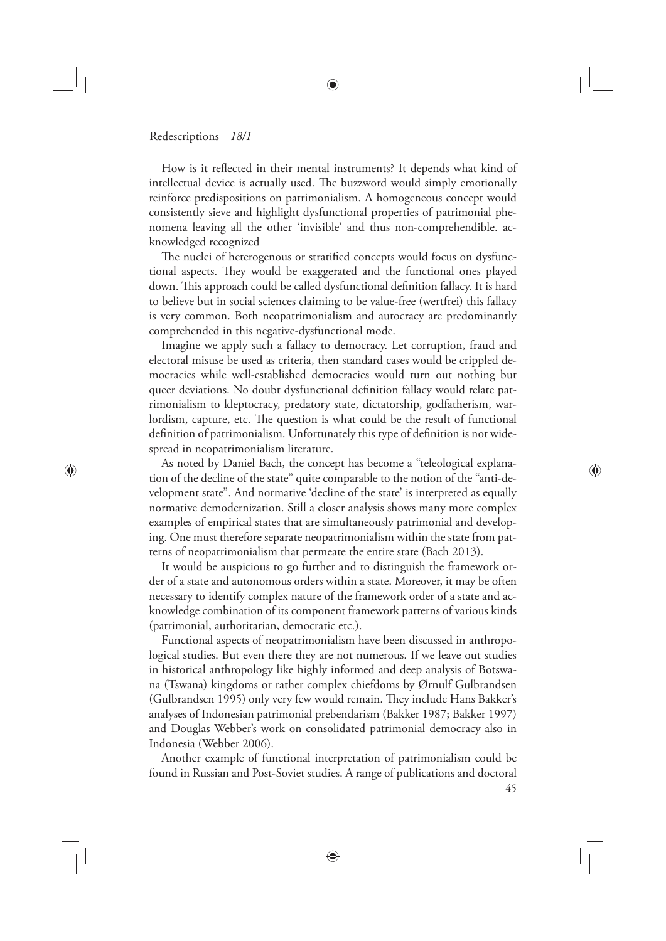⊕

How is it reflected in their mental instruments? It depends what kind of intellectual device is actually used. The buzzword would simply emotionally reinforce predispositions on patrimonialism. A homogeneous concept would consistently sieve and highlight dysfunctional properties of patrimonial phenomena leaving all the other 'invisible' and thus non-comprehendible. acknowledged recognized

♠

The nuclei of heterogenous or stratified concepts would focus on dysfunctional aspects. They would be exaggerated and the functional ones played down. This approach could be called dysfunctional definition fallacy. It is hard to believe but in social sciences claiming to be value-free (wertfrei) this fallacy is very common. Both neopatrimonialism and autocracy are predominantly comprehended in this negative-dysfunctional mode.

Imagine we apply such a fallacy to democracy. Let corruption, fraud and electoral misuse be used as criteria, then standard cases would be crippled democracies while well-established democracies would turn out nothing but queer deviations. No doubt dysfunctional definition fallacy would relate patrimonialism to kleptocracy, predatory state, dictatorship, godfatherism, warlordism, capture, etc. The question is what could be the result of functional definition of patrimonialism. Unfortunately this type of definition is not widespread in neopatrimonialism literature.

As noted by Daniel Bach, the concept has become a "teleological explanation of the decline of the state" quite comparable to the notion of the "anti-development state". And normative 'decline of the state' is interpreted as equally normative demodernization. Still a closer analysis shows many more complex examples of empirical states that are simultaneously patrimonial and developing. One must therefore separate neopatrimonialism within the state from patterns of neopatrimonialism that permeate the entire state (Bach 2013).

It would be auspicious to go further and to distinguish the framework order of a state and autonomous orders within a state. Moreover, it may be often necessary to identify complex nature of the framework order of a state and acknowledge combination of its component framework patterns of various kinds (patrimonial, authoritarian, democratic etc.).

Functional aspects of neopatrimonialism have been discussed in anthropological studies. But even there they are not numerous. If we leave out studies in historical anthropology like highly informed and deep analysis of Botswana (Tswana) kingdoms or rather complex chiefdoms by Ørnulf Gulbrandsen (Gulbrandsen 1995) only very few would remain. They include Hans Bakker's analyses of Indonesian patrimonial prebendarism (Bakker 1987; Bakker 1997) and Douglas Webber's work on consolidated patrimonial democracy also in Indonesia (Webber 2006).

Another example of functional interpretation of patrimonialism could be found in Russian and Post-Soviet studies. A range of publications and doctoral

45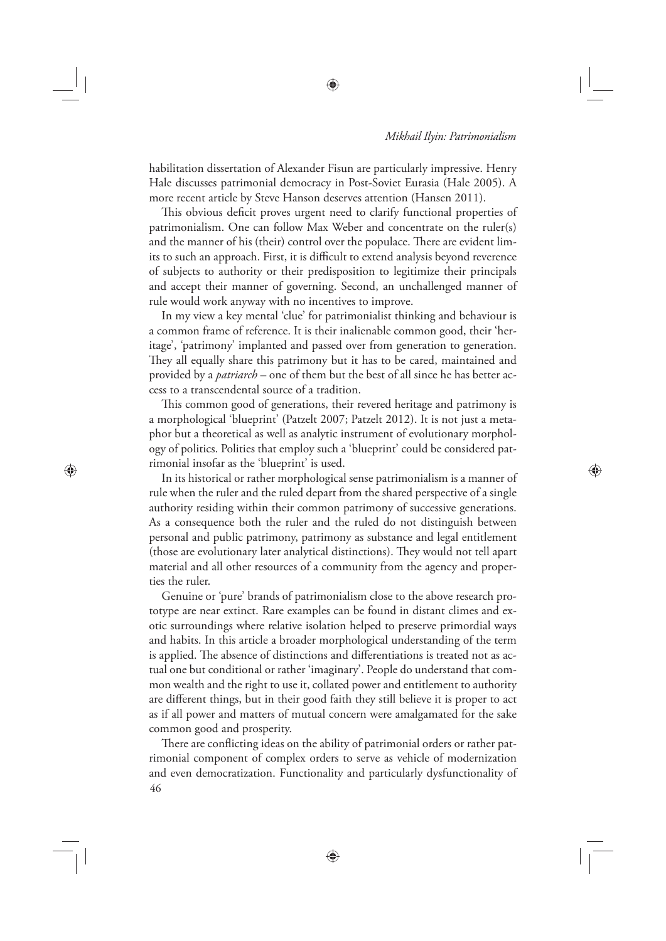⊕

habilitation dissertation of Alexander Fisun are particularly impressive. Henry Hale discusses patrimonial democracy in Post-Soviet Eurasia (Hale 2005). A more recent article by Steve Hanson deserves attention (Hansen 2011).

⊕

This obvious deficit proves urgent need to clarify functional properties of patrimonialism. One can follow Max Weber and concentrate on the ruler(s) and the manner of his (their) control over the populace. There are evident limits to such an approach. First, it is difficult to extend analysis beyond reverence of subjects to authority or their predisposition to legitimize their principals and accept their manner of governing. Second, an unchallenged manner of rule would work anyway with no incentives to improve.

In my view a key mental 'clue' for patrimonialist thinking and behaviour is a common frame of reference. It is their inalienable common good, their 'heritage', 'patrimony' implanted and passed over from generation to generation. They all equally share this patrimony but it has to be cared, maintained and provided by a *patriarch* – one of them but the best of all since he has better access to a transcendental source of a tradition.

This common good of generations, their revered heritage and patrimony is a morphological 'blueprint' (Patzelt 2007; Patzelt 2012). It is not just a metaphor but a theoretical as well as analytic instrument of evolutionary morphology of politics. Polities that employ such a 'blueprint' could be considered patrimonial insofar as the 'blueprint' is used.

⊕

In its historical or rather morphological sense patrimonialism is a manner of rule when the ruler and the ruled depart from the shared perspective of a single authority residing within their common patrimony of successive generations. As a consequence both the ruler and the ruled do not distinguish between personal and public patrimony, patrimony as substance and legal entitlement (those are evolutionary later analytical distinctions). They would not tell apart material and all other resources of a community from the agency and properties the ruler.

Genuine or 'pure' brands of patrimonialism close to the above research prototype are near extinct. Rare examples can be found in distant climes and exotic surroundings where relative isolation helped to preserve primordial ways and habits. In this article a broader morphological understanding of the term is applied. The absence of distinctions and differentiations is treated not as actual one but conditional or rather 'imaginary'. People do understand that common wealth and the right to use it, collated power and entitlement to authority are different things, but in their good faith they still believe it is proper to act as if all power and matters of mutual concern were amalgamated for the sake common good and prosperity.

46 There are conflicting ideas on the ability of patrimonial orders or rather patrimonial component of complex orders to serve as vehicle of modernization and even democratization. Functionality and particularly dysfunctionality of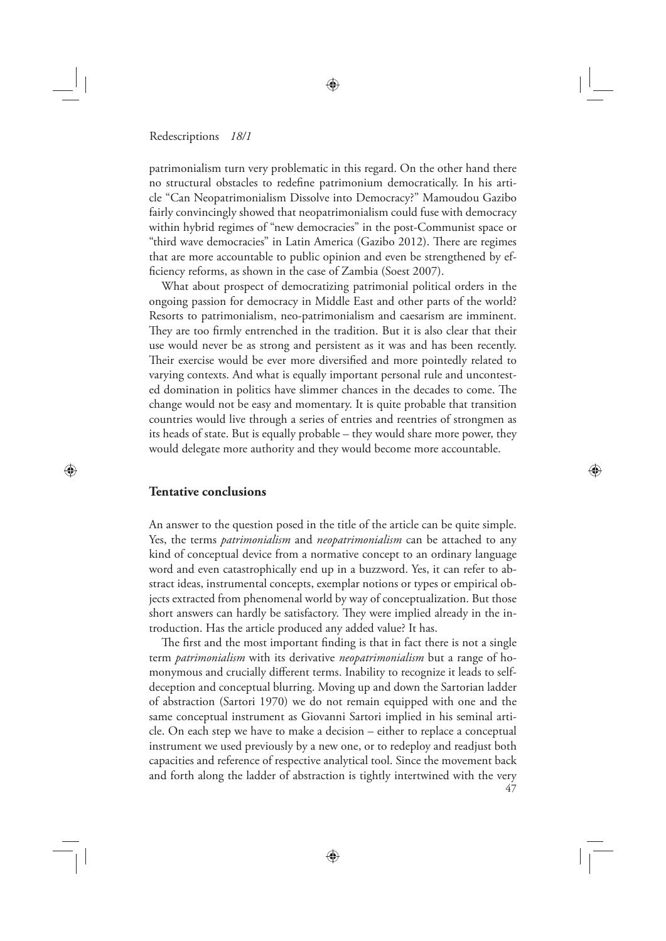patrimonialism turn very problematic in this regard. On the other hand there no structural obstacles to redefine patrimonium democratically. In his article "Can Neopatrimonialism Dissolve into Democracy?" Mamoudou Gazibo fairly convincingly showed that neopatrimonialism could fuse with democracy within hybrid regimes of "new democracies" in the post-Communist space or "third wave democracies" in Latin America (Gazibo 2012). There are regimes that are more accountable to public opinion and even be strengthened by efficiency reforms, as shown in the case of Zambia (Soest 2007).

♠

What about prospect of democratizing patrimonial political orders in the ongoing passion for democracy in Middle East and other parts of the world? Resorts to patrimonialism, neo-patrimonialism and caesarism are imminent. They are too firmly entrenched in the tradition. But it is also clear that their use would never be as strong and persistent as it was and has been recently. Their exercise would be ever more diversified and more pointedly related to varying contexts. And what is equally important personal rule and uncontested domination in politics have slimmer chances in the decades to come. The change would not be easy and momentary. It is quite probable that transition countries would live through a series of entries and reentries of strongmen as its heads of state. But is equally probable – they would share more power, they would delegate more authority and they would become more accountable.

⊕

## **Tentative conclusions**

⊕

An answer to the question posed in the title of the article can be quite simple. Yes, the terms *patrimonialism* and *neopatrimonialism* can be attached to any kind of conceptual device from a normative concept to an ordinary language word and even catastrophically end up in a buzzword. Yes, it can refer to abstract ideas, instrumental concepts, exemplar notions or types or empirical objects extracted from phenomenal world by way of conceptualization. But those short answers can hardly be satisfactory. They were implied already in the introduction. Has the article produced any added value? It has.

47 The first and the most important finding is that in fact there is not a single term *patrimonialism* with its derivative *neopatrimonialism* but a range of homonymous and crucially different terms. Inability to recognize it leads to selfdeception and conceptual blurring. Moving up and down the Sartorian ladder of abstraction (Sartori 1970) we do not remain equipped with one and the same conceptual instrument as Giovanni Sartori implied in his seminal article. On each step we have to make a decision – either to replace a conceptual instrument we used previously by a new one, or to redeploy and readjust both capacities and reference of respective analytical tool. Since the movement back and forth along the ladder of abstraction is tightly intertwined with the very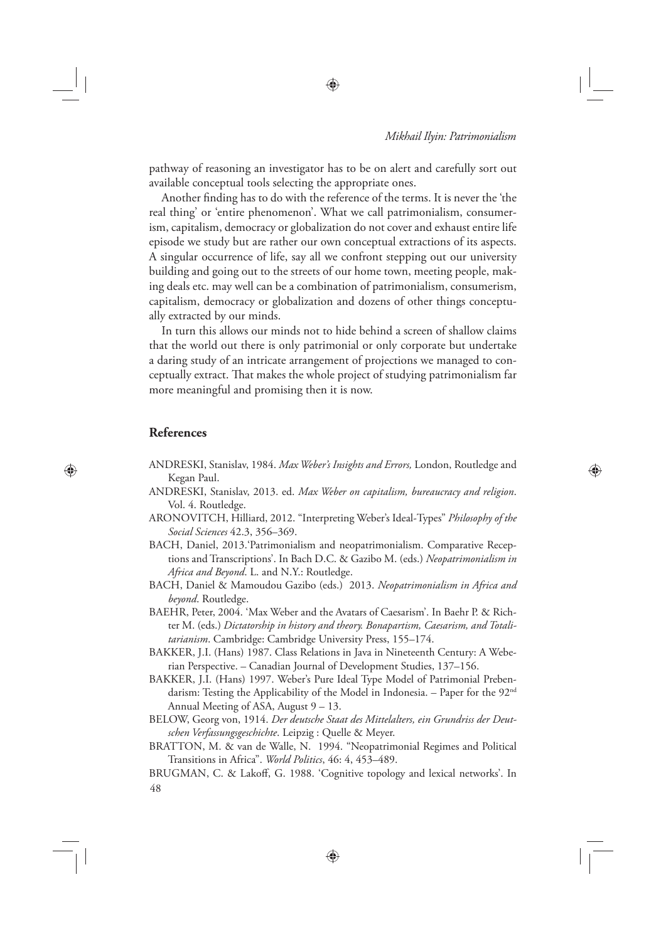⊕

pathway of reasoning an investigator has to be on alert and carefully sort out available conceptual tools selecting the appropriate ones.

Another finding has to do with the reference of the terms. It is never the 'the real thing' or 'entire phenomenon'. What we call patrimonialism, consumerism, capitalism, democracy or globalization do not cover and exhaust entire life episode we study but are rather our own conceptual extractions of its aspects. A singular occurrence of life, say all we confront stepping out our university building and going out to the streets of our home town, meeting people, making deals etc. may well can be a combination of patrimonialism, consumerism, capitalism, democracy or globalization and dozens of other things conceptually extracted by our minds.

In turn this allows our minds not to hide behind a screen of shallow claims that the world out there is only patrimonial or only corporate but undertake a daring study of an intricate arrangement of projections we managed to conceptually extract. That makes the whole project of studying patrimonialism far more meaningful and promising then it is now.

## **References**

⊕

- ANDRESKI, Stanislav, 1984. *Max Weber's Insights and Errors,* London, Routledge and Kegan Paul.
- ANDRESKI, Stanislav, 2013. ed. *Max Weber on capitalism, bureaucracy and religion*. Vol. 4. Routledge.
- ARONOVITCH, Hilliard, 2012. "Interpreting Weber's Ideal-Types" *Philosophy of the Social Sciences* 42.3, 356–369.
- BACH, Daniel, 2013.'Patrimonialism and neopatrimonialism. Comparative Receptions and Transcriptions'. In Bach D.C. & Gazibo M. (eds.) *Neopatrimonialism in Africa and Beyond*. L. and N.Y.: Routledge.
- BACH, Daniel & Mamoudou Gazibo (eds.) 2013. *Neopatrimonialism in Africa and beyond*. Routledge.
- BAEHR, Peter, 2004. 'Max Weber and the Avatars of Caesarism'. In Baehr P. & Richter M. (eds.) *Dictatorship in history and theory. Bonapartism, Caesarism, and Totalitarianism*. Cambridge: Cambridge University Press, 155–174.
- BAKKER, J.I. (Hans) 1987. Class Relations in Java in Nineteenth Century: A Weberian Perspective. – Canadian Journal of Development Studies, 137–156.
- BAKKER, J.I. (Hans) 1997. Weber's Pure Ideal Type Model of Patrimonial Prebendarism: Testing the Applicability of the Model in Indonesia. – Paper for the 92<sup>nd</sup> Annual Meeting of ASA, August 9 – 13.
- BELOW, Georg von, 1914. *Der deutsche Staat des Mittelalters, ein Grundriss der Deutschen Verfassungsgeschichte*. Leipzig : Quelle & Meyer.
- BRATTON, M. & van de Walle, N. 1994. "Neopatrimonial Regimes and Political Transitions in Africa". *World Politics*, 46: 4, 453–489.

48 BRUGMAN, C. & Lakoff, G. 1988. 'Cognitive topology and lexical networks'. In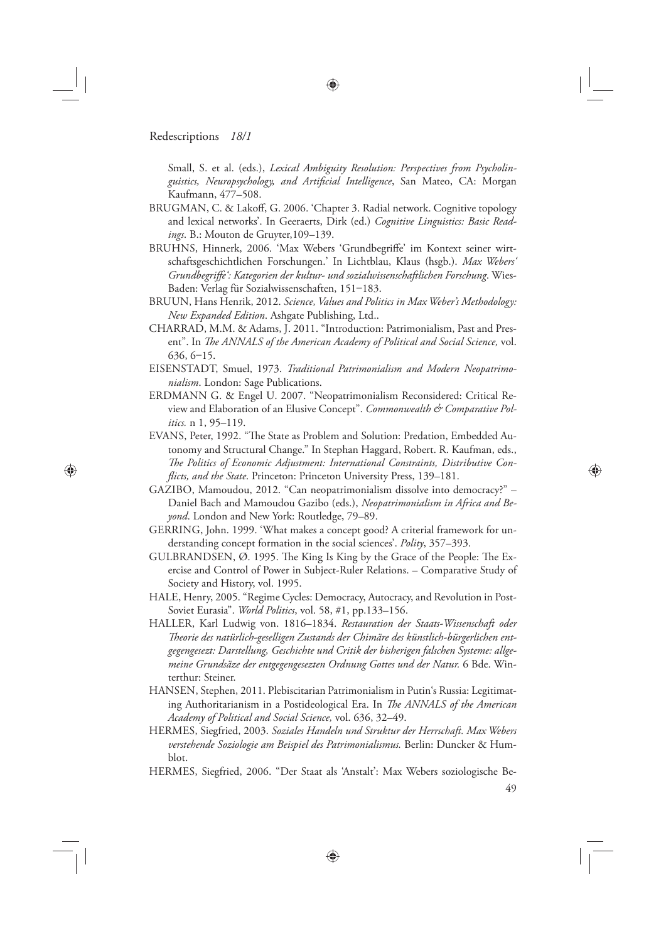⊕

Small, S. et al. (eds.), *Lexical Ambiguity Resolution: Perspectives from Psycholinguistics, Neuropsychology, and Artificial Intelligence*, San Mateo, CA: Morgan Kaufmann, 477–508.

- BRUGMAN, C. & Lakoff, G. 2006. 'Chapter 3. Radial network. Cognitive topology and lexical networks'. In Geeraerts, Dirk (ed.) *Cognitive Linguistics: Basic Readings*. B.: Mouton de Gruyter,109–139.
- BRUHNS, Hinnerk, 2006. 'Max Webers 'Grundbegriffe' im Kontext seiner wirtschaftsgeschichtlichen Forschungen.' In Lichtblau, Klaus (hsgb.). *Max Webers' Grundbegriff e': Kategorien der kultur- und sozialwissenschaftlichen Forschung*. Wies-Baden: Verlag für Sozialwissenschaften, 151–183.
- BRUUN, Hans Henrik, 2012. *Science, Values and Politics in Max Weber's Methodology: New Expanded Edition*. Ashgate Publishing, Ltd..
- CHARRAD, M.M. & Adams, J. 2011. "Introduction: Patrimonialism, Past and Present". In *The ANNALS of the American Academy of Political and Social Science*, vol. 636, 6–15.
- EISENSTADT, Smuel, 1973. *Traditional Patrimonialism and Modern Neopatrimonialism*. London: Sage Publications.
- ERDMANN G. & Engel U. 2007. "Neopatrimonialism Reconsidered: Critical Review and Elaboration of an Elusive Concept". *Commonwealth & Comparative Politics.* n 1, 95–119.
- EVANS, Peter, 1992. "The State as Problem and Solution: Predation, Embedded Autonomy and Structural Change." In Stephan Haggard, Robert. R. Kaufman, eds., The Politics of Economic Adjustment: International Constraints, Distributive Con*fl icts, and the State*. Princeton: Princeton University Press, 139–181.
- GAZIBO, Mamoudou, 2012. "Can neopatrimonialism dissolve into democracy?" Daniel Bach and Mamoudou Gazibo (eds.), *Neopatrimonialism in Africa and Beyond*. London and New York: Routledge, 79–89.
- GERRING, John. 1999. 'What makes a concept good? A criterial framework for understanding concept formation in the social sciences'. *Polity*, 357–393.
- GULBRANDSEN,  $\varnothing$ . 1995. The King Is King by the Grace of the People: The Exercise and Control of Power in Subject-Ruler Relations. – Comparative Study of Society and History, vol. 1995.
- HALE, Henry, 2005. "Regime Cycles: Democracy, Autocracy, and Revolution in Post-Soviet Eurasia". *World Politics*, vol. 58, #1, pp.133–156.
- HALLER, Karl Ludwig von. 1816–1834. *Restauration der Staats-Wissenschaft oder Th eorie des natürlich-geselligen Zustands der Chimäre des künstlich-bürgerlichen entgegengesezt: Darstellung, Geschichte und Critik der bisherigen falschen Systeme: allgemeine Grundsäze der entgegengesezten Ordnung Gottes und der Natur.* 6 Bde. Winterthur: Steiner.
- HANSEN, Stephen, 2011. Plebiscitarian Patrimonialism in Putin's Russia: Legitimating Authoritarianism in a Postideological Era. In *The ANNALS of the American Academy of Political and Social Science,* vol. 636, 32–49.
- HERMES, Siegfried, 2003. *Soziales Handeln und Struktur der Herrschaft. Max Webers verstehende Soziologie am Beispiel des Patrimonialismus.* Berlin: Duncker & Humblot.
- HERMES, Siegfried, 2006. "Der Staat als 'Anstalt': Max Webers soziologische Be-

⊕

49

⊕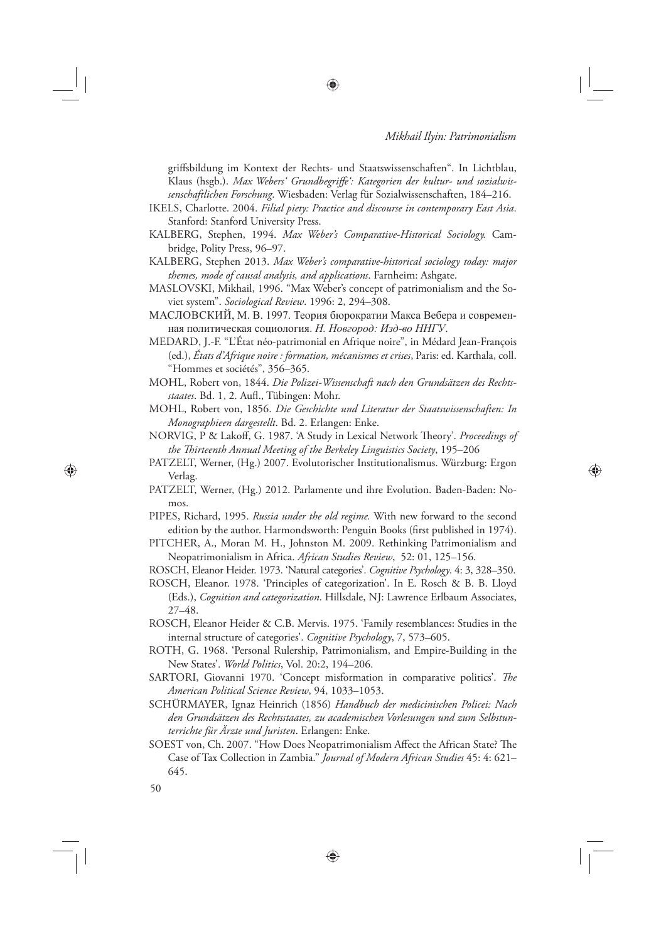⊕

griff sbildung im Kontext der Rechts- und Staatswissenschaften". In Lichtblau, Klaus (hsgb.). Max Webers' Grundbegriffe': Kategorien der kultur- und sozialwis*senschaftlichen Forschung*. Wiesbaden: Verlag für Sozialwissenschaften, 184–216.

IKELS, Charlotte. 2004. *Filial piety: Practice and discourse in contemporary East Asia*. Stanford: Stanford University Press.

♠

- KALBERG, Stephen, 1994. *Max Weber's Comparative-Historical Sociology.* Cambridge, Polity Press, 96–97.
- KALBERG, Stephen 2013. *Max Weber's comparative-historical sociology today: major themes, mode of causal analysis, and applications*. Farnheim: Ashgate.
- MASLOVSKI, Mikhail, 1996. "Max Weber's concept of patrimonialism and the Soviet system". *Sociological Review*. 1996: 2, 294–308.
- МАСЛОВСКИЙ, М. В. 1997. Теория бюрократии Макса Вебера и современная политическая социология. *Н. Новгород: Изд-во ННГУ*.
- MEDARD, J.-F. "L'État néo-patrimonial en Afrique noire", in Médard Jean-François (ed.), *États d'Afrique noire : formation, mécanismes et crises*, Paris: ed. Karthala, coll. "Hommes et sociétés", 356–365.
- MOHL, Robert von, 1844. *Die Polizei-Wissenschaft nach den Grundsätzen des Rechts*staates. Bd. 1, 2. Aufl., Tübingen: Mohr.
- MOHL, Robert von, 1856. *Die Geschichte und Literatur der Staatswissenschaften: In Monographieen dargestellt*. Bd. 2. Erlangen: Enke.
- NORVIG, P & Lakoff, G. 1987. 'A Study in Lexical Network Theory'. Proceedings of *the Th irteenth Annual Meeting of the Berkeley Linguistics Society*, 195–206
- PATZELT, Werner, (Hg.) 2007. Evolutorischer Institutionalismus. Würzburg: Ergon Verlag.
- PATZELT, Werner, (Hg.) 2012. Parlamente und ihre Evolution. Baden-Baden: Nomos.
- PIPES, Richard, 1995. *Russia under the old regime.* With new forward to the second edition by the author. Harmondsworth: Penguin Books (first published in 1974).
- PITCHER, A., Moran M. H., Johnston M. 2009. Rethinking Patrimonialism and Neopatrimonialism in Africa. *African Studies Review*, 52: 01, 125–156.
- ROSCH, Eleanor Heider. 1973. 'Natural categories'. *Cognitive Psychology*. 4: 3, 328–350.
- ROSCH, Eleanor. 1978. 'Principles of categorization'. In E. Rosch & B. B. Lloyd (Eds.), *Cognition and categorization*. Hillsdale, NJ: Lawrence Erlbaum Associates, 27–48.
- ROSCH, Eleanor Heider & C.B. Mervis. 1975. 'Family resemblances: Studies in the internal structure of categories'. *Cognitive Psychology*, 7, 573–605.
- ROTH, G. 1968. 'Personal Rulership, Patrimonialism, and Empire-Building in the New States'. *World Politics*, Vol. 20:2, 194–206.
- SARTORI, Giovanni 1970. 'Concept misformation in comparative politics'. The *American Political Science Review*, 94, 1033–1053.
- SCHÜRMAYER, Ignaz Heinrich (1856) *Handbuch der medicinischen Policei: Nach den Grundsätzen des Rechtsstaates, zu academischen Vorlesungen und zum Selbstunterrichte für Ärzte und Juristen*. Erlangen: Enke.
- SOEST von, Ch. 2007. "How Does Neopatrimonialism Affect the African State? The Case of Tax Collection in Zambia." *Journal of Modern African Studies* 45: 4: 621– 645.

<sup>50</sup>